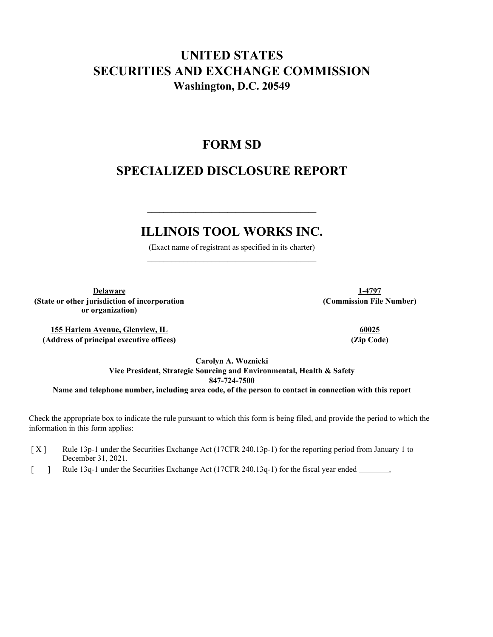# **UNITED STATES SECURITIES AND EXCHANGE COMMISSION Washington, D.C. 20549**

# **FORM SD**

# **SPECIALIZED DISCLOSURE REPORT**

# **ILLINOIS TOOL WORKS INC.**

 $\mathcal{L}_\text{max}$  and  $\mathcal{L}_\text{max}$  and  $\mathcal{L}_\text{max}$  and  $\mathcal{L}_\text{max}$  and  $\mathcal{L}_\text{max}$ 

(Exact name of registrant as specified in its charter)  $\mathcal{L}_\text{max}$  and  $\mathcal{L}_\text{max}$  and  $\mathcal{L}_\text{max}$  and  $\mathcal{L}_\text{max}$  and  $\mathcal{L}_\text{max}$ 

**Delaware 1-4797 (State or other jurisdiction of incorporation or organization)**

**155 Harlem Avenue, Glenview, IL 60025 (Address of principal executive offices) (Zip Code)**

**(Commission File Number)**

**Carolyn A. Woznicki**

**Vice President, Strategic Sourcing and Environmental, Health & Safety 847-724-7500 Name and telephone number, including area code, of the person to contact in connection with this report**

Check the appropriate box to indicate the rule pursuant to which this form is being filed, and provide the period to which the information in this form applies:

- [X] Rule 13p-1 under the Securities Exchange Act (17CFR 240.13p-1) for the reporting period from January 1 to December 31, 2021.
- [ ] Rule 13q-1 under the Securities Exchange Act (17CFR 240.13q-1) for the fiscal year ended .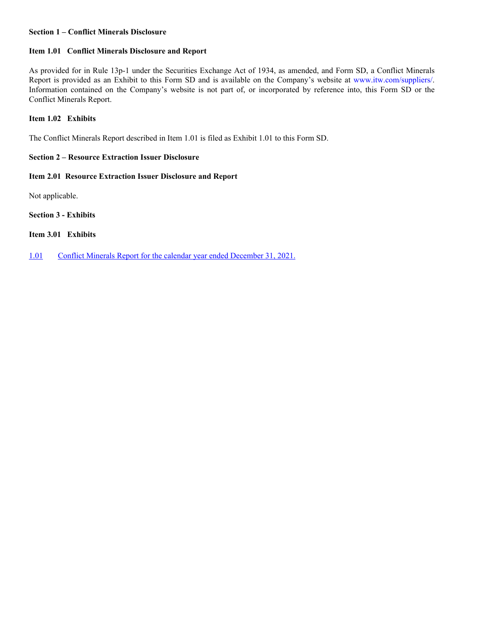## **Section 1 – Conflict Minerals Disclosure**

# **Item 1.01 Conflict Minerals Disclosure and Report**

As provided for in Rule 13p-1 under the Securities Exchange Act of 1934, as amended, and Form SD, a Conflict Minerals Report is provided as an Exhibit to this Form SD and is available on the Company's website at www.itw.com/suppliers/. Information contained on the Company's website is not part of, or incorporated by reference into, this Form SD or the Conflict Minerals Report.

## **Item 1.02 Exhibits**

The Conflict Minerals Report described in Item 1.01 is filed as Exhibit 1.01 to this Form SD.

# **Section 2 – Resource Extraction Issuer Disclosure**

# **Item 2.01 Resource Extraction Issuer Disclosure and Report**

Not applicable.

**Section 3 - Exhibits**

**Item 3.01 Exhibits**

1.01 Conflict Minerals Report for the calendar year ended December 31, 2021.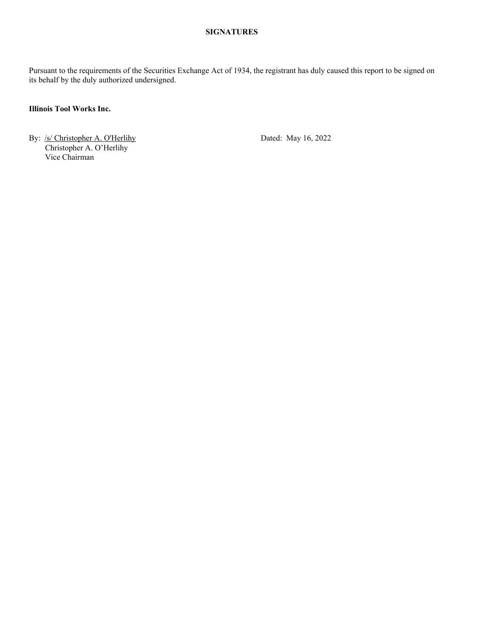# **SIGNATURES**

Pursuant to the requirements of the Securities Exchange Act of 1934, the registrant has duly caused this report to be signed on its behalf by the duly authorized undersigned.

# **Illinois Tool Works Inc.**

By: /s/ Christopher A. O'Herlihy Dated: May 16, 2022 Christopher A. O'Herlihy Vice Chairman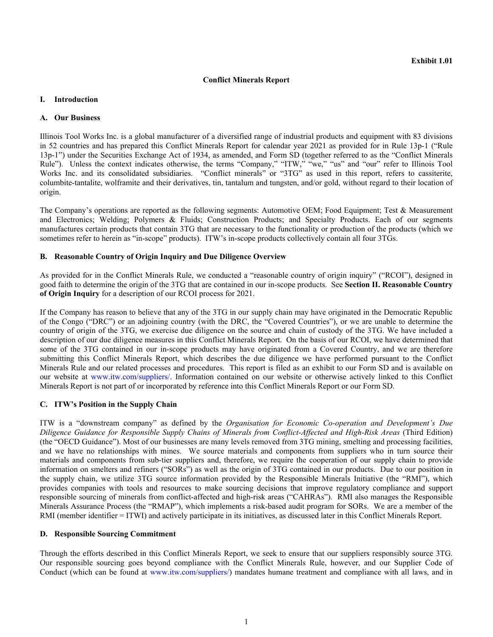# **Conflict Minerals Report**

### **I. Introduction**

### **A. Our Business**

Illinois Tool Works Inc. is a global manufacturer of a diversified range of industrial products and equipment with 83 divisions in 52 countries and has prepared this Conflict Minerals Report for calendar year 2021 as provided for in Rule 13p-1 ("Rule 13p-1") under the Securities Exchange Act of 1934, as amended, and Form SD (together referred to as the "Conflict Minerals Rule"). Unless the context indicates otherwise, the terms "Company," "ITW," "we," "us" and "our" refer to Illinois Tool Works Inc. and its consolidated subsidiaries. "Conflict minerals" or "3TG" as used in this report, refers to cassiterite, columbite-tantalite, wolframite and their derivatives, tin, tantalum and tungsten, and/or gold, without regard to their location of origin.

The Company's operations are reported as the following segments: Automotive OEM; Food Equipment; Test & Measurement and Electronics; Welding; Polymers & Fluids; Construction Products; and Specialty Products. Each of our segments manufactures certain products that contain 3TG that are necessary to the functionality or production of the products (which we sometimes refer to herein as "in-scope" products). ITW's in-scope products collectively contain all four 3TGs.

## **B. Reasonable Country of Origin Inquiry and Due Diligence Overview**

As provided for in the Conflict Minerals Rule, we conducted a "reasonable country of origin inquiry" ("RCOI"), designed in good faith to determine the origin of the 3TG that are contained in our in-scope products. See **Section II. Reasonable Country of Origin Inquiry** for a description of our RCOI process for 2021.

If the Company has reason to believe that any of the 3TG in our supply chain may have originated in the Democratic Republic of the Congo ("DRC") or an adjoining country (with the DRC, the "Covered Countries"), or we are unable to determine the country of origin of the 3TG, we exercise due diligence on the source and chain of custody of the 3TG. We have included a description of our due diligence measures in this Conflict Minerals Report. On the basis of our RCOI, we have determined that some of the 3TG contained in our in-scope products may have originated from a Covered Country, and we are therefore submitting this Conflict Minerals Report, which describes the due diligence we have performed pursuant to the Conflict Minerals Rule and our related processes and procedures. This report is filed as an exhibit to our Form SD and is available on our website at www.itw.com/suppliers/. Information contained on our website or otherwise actively linked to this Conflict Minerals Report is not part of or incorporated by reference into this Conflict Minerals Report or our Form SD.

# **C. ITW's Position in the Supply Chain**

ITW is a "downstream company" as defined by the *Organisation for Economic Co-operation and Development's Due Diligence Guidance for Responsible Supply Chains of Minerals from Conflict-Affected and High-Risk Areas* (Third Edition) (the "OECD Guidance"). Most of our businesses are many levels removed from 3TG mining, smelting and processing facilities, and we have no relationships with mines. We source materials and components from suppliers who in turn source their materials and components from sub-tier suppliers and, therefore, we require the cooperation of our supply chain to provide information on smelters and refiners ("SORs") as well as the origin of 3TG contained in our products. Due to our position in the supply chain, we utilize 3TG source information provided by the Responsible Minerals Initiative (the "RMI"), which provides companies with tools and resources to make sourcing decisions that improve regulatory compliance and support responsible sourcing of minerals from conflict-affected and high-risk areas ("CAHRAs"). RMI also manages the Responsible Minerals Assurance Process (the "RMAP"), which implements a risk-based audit program for SORs. We are a member of the RMI (member identifier = ITWI) and actively participate in its initiatives, as discussed later in this Conflict Minerals Report.

### **D. Responsible Sourcing Commitment**

Through the efforts described in this Conflict Minerals Report, we seek to ensure that our suppliers responsibly source 3TG. Our responsible sourcing goes beyond compliance with the Conflict Minerals Rule, however, and our Supplier Code of Conduct (which can be found at www.itw.com/suppliers/) mandates humane treatment and compliance with all laws, and in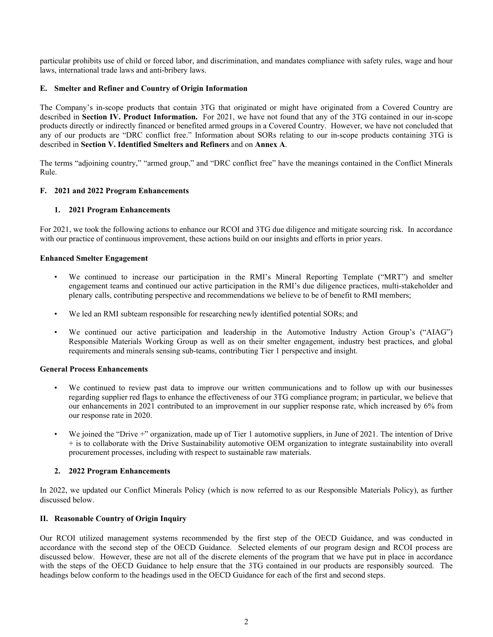particular prohibits use of child or forced labor, and discrimination, and mandates compliance with safety rules, wage and hour laws, international trade laws and anti-bribery laws.

# **E. Smelter and Refiner and Country of Origin Information**

The Company's in-scope products that contain 3TG that originated or might have originated from a Covered Country are described in **Section IV. Product Information.** For 2021, we have not found that any of the 3TG contained in our in-scope products directly or indirectly financed or benefited armed groups in a Covered Country. However, we have not concluded that any of our products are "DRC conflict free." Information about SORs relating to our in-scope products containing 3TG is described in **Section V. Identified Smelters and Refiners** and on **Annex A**.

The terms "adjoining country," "armed group," and "DRC conflict free" have the meanings contained in the Conflict Minerals Rule.

## **F. 2021 and 2022 Program Enhancements**

## **1. 2021 Program Enhancements**

For 2021, we took the following actions to enhance our RCOI and 3TG due diligence and mitigate sourcing risk. In accordance with our practice of continuous improvement, these actions build on our insights and efforts in prior years.

### **Enhanced Smelter Engagement**

- We continued to increase our participation in the RMI's Mineral Reporting Template ("MRT") and smelter engagement teams and continued our active participation in the RMI's due diligence practices, multi-stakeholder and plenary calls, contributing perspective and recommendations we believe to be of benefit to RMI members;
- We led an RMI subteam responsible for researching newly identified potential SORs; and
- We continued our active participation and leadership in the Automotive Industry Action Group's ("AIAG") Responsible Materials Working Group as well as on their smelter engagement, industry best practices, and global requirements and minerals sensing sub-teams, contributing Tier 1 perspective and insight.

### **General Process Enhancements**

- We continued to review past data to improve our written communications and to follow up with our businesses regarding supplier red flags to enhance the effectiveness of our 3TG compliance program; in particular, we believe that our enhancements in 2021 contributed to an improvement in our supplier response rate, which increased by 6% from our response rate in 2020.
- We joined the "Drive +" organization, made up of Tier 1 automotive suppliers, in June of 2021. The intention of Drive + is to collaborate with the Drive Sustainability automotive OEM organization to integrate sustainability into overall procurement processes, including with respect to sustainable raw materials.

### **2. 2022 Program Enhancements**

In 2022, we updated our Conflict Minerals Policy (which is now referred to as our Responsible Materials Policy), as further discussed below.

# **II. Reasonable Country of Origin Inquiry**

Our RCOI utilized management systems recommended by the first step of the OECD Guidance, and was conducted in accordance with the second step of the OECD Guidance. Selected elements of our program design and RCOI process are discussed below. However, these are not all of the discrete elements of the program that we have put in place in accordance with the steps of the OECD Guidance to help ensure that the 3TG contained in our products are responsibly sourced. The headings below conform to the headings used in the OECD Guidance for each of the first and second steps.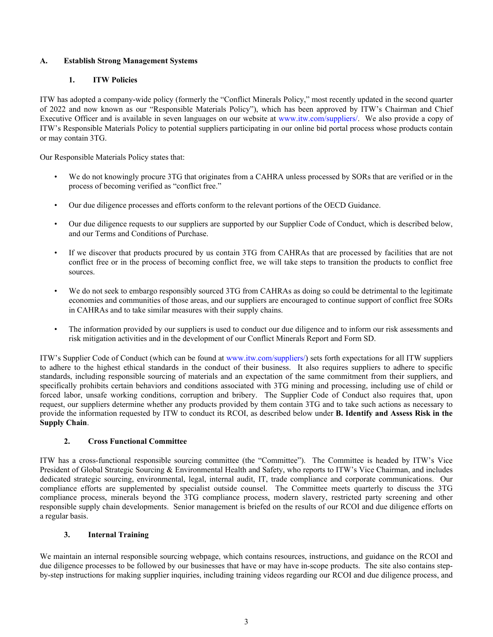# **A. Establish Strong Management Systems**

# **1. ITW Policies**

ITW has adopted a company-wide policy (formerly the "Conflict Minerals Policy," most recently updated in the second quarter of 2022 and now known as our "Responsible Materials Policy"), which has been approved by ITW's Chairman and Chief Executive Officer and is available in seven languages on our website at www.itw.com/suppliers/. We also provide a copy of ITW's Responsible Materials Policy to potential suppliers participating in our online bid portal process whose products contain or may contain 3TG.

Our Responsible Materials Policy states that:

- We do not knowingly procure 3TG that originates from a CAHRA unless processed by SORs that are verified or in the process of becoming verified as "conflict free."
- Our due diligence processes and efforts conform to the relevant portions of the OECD Guidance.
- Our due diligence requests to our suppliers are supported by our Supplier Code of Conduct, which is described below, and our Terms and Conditions of Purchase.
- If we discover that products procured by us contain 3TG from CAHRAs that are processed by facilities that are not conflict free or in the process of becoming conflict free, we will take steps to transition the products to conflict free sources.
- We do not seek to embargo responsibly sourced 3TG from CAHRAs as doing so could be detrimental to the legitimate economies and communities of those areas, and our suppliers are encouraged to continue support of conflict free SORs in CAHRAs and to take similar measures with their supply chains.
- The information provided by our suppliers is used to conduct our due diligence and to inform our risk assessments and risk mitigation activities and in the development of our Conflict Minerals Report and Form SD.

ITW's Supplier Code of Conduct (which can be found at www.itw.com/suppliers/) sets forth expectations for all ITW suppliers to adhere to the highest ethical standards in the conduct of their business. It also requires suppliers to adhere to specific standards, including responsible sourcing of materials and an expectation of the same commitment from their suppliers, and specifically prohibits certain behaviors and conditions associated with 3TG mining and processing, including use of child or forced labor, unsafe working conditions, corruption and bribery. The Supplier Code of Conduct also requires that, upon request, our suppliers determine whether any products provided by them contain 3TG and to take such actions as necessary to provide the information requested by ITW to conduct its RCOI, as described below under **B. Identify and Assess Risk in the Supply Chain**.

# **2. Cross Functional Committee**

ITW has a cross-functional responsible sourcing committee (the "Committee"). The Committee is headed by ITW's Vice President of Global Strategic Sourcing & Environmental Health and Safety, who reports to ITW's Vice Chairman, and includes dedicated strategic sourcing, environmental, legal, internal audit, IT, trade compliance and corporate communications. Our compliance efforts are supplemented by specialist outside counsel. The Committee meets quarterly to discuss the 3TG compliance process, minerals beyond the 3TG compliance process, modern slavery, restricted party screening and other responsible supply chain developments. Senior management is briefed on the results of our RCOI and due diligence efforts on a regular basis.

# **3. Internal Training**

We maintain an internal responsible sourcing webpage, which contains resources, instructions, and guidance on the RCOI and due diligence processes to be followed by our businesses that have or may have in-scope products. The site also contains stepby-step instructions for making supplier inquiries, including training videos regarding our RCOI and due diligence process, and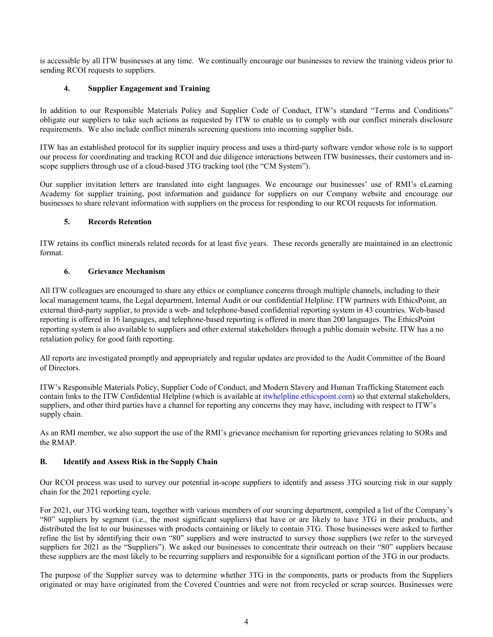is accessible by all ITW businesses at any time. We continually encourage our businesses to review the training videos prior to sending RCOI requests to suppliers.

# **4. Supplier Engagement and Training**

In addition to our Responsible Materials Policy and Supplier Code of Conduct, ITW's standard "Terms and Conditions" obligate our suppliers to take such actions as requested by ITW to enable us to comply with our conflict minerals disclosure requirements. We also include conflict minerals screening questions into incoming supplier bids.

ITW has an established protocol for its supplier inquiry process and uses a third-party software vendor whose role is to support our process for coordinating and tracking RCOI and due diligence interactions between ITW businesses, their customers and inscope suppliers through use of a cloud-based 3TG tracking tool (the "CM System").

Our supplier invitation letters are translated into eight languages. We encourage our businesses' use of RMI's eLearning Academy for supplier training, post information and guidance for suppliers on our Company website and encourage our businesses to share relevant information with suppliers on the process for responding to our RCOI requests for information.

# **5. Records Retention**

ITW retains its conflict minerals related records for at least five years. These records generally are maintained in an electronic format.

## **6. Grievance Mechanism**

All ITW colleagues are encouraged to share any ethics or compliance concerns through multiple channels, including to their local management teams, the Legal department, Internal Audit or our confidential Helpline. ITW partners with EthicsPoint, an external third-party supplier, to provide a web- and telephone-based confidential reporting system in 43 countries. Web-based reporting is offered in 16 languages, and telephone-based reporting is offered in more than 200 languages. The EthicsPoint reporting system is also available to suppliers and other external stakeholders through a public domain website. ITW has a no retaliation policy for good faith reporting.

All reports are investigated promptly and appropriately and regular updates are provided to the Audit Committee of the Board of Directors.

ITW's Responsible Materials Policy, Supplier Code of Conduct, and Modern Slavery and Human Trafficking Statement each contain links to the ITW Confidential Helpline (which is available at itwhelpline.ethicspoint.com) so that external stakeholders, suppliers, and other third parties have a channel for reporting any concerns they may have, including with respect to ITW's supply chain.

As an RMI member, we also support the use of the RMI's grievance mechanism for reporting grievances relating to SORs and the RMAP.

# **B. Identify and Assess Risk in the Supply Chain**

Our RCOI process was used to survey our potential in-scope suppliers to identify and assess 3TG sourcing risk in our supply chain for the 2021 reporting cycle.

For 2021, our 3TG working team, together with various members of our sourcing department, compiled a list of the Company's "80" suppliers by segment (i.e., the most significant suppliers) that have or are likely to have 3TG in their products, and distributed the list to our businesses with products containing or likely to contain 3TG. Those businesses were asked to further refine the list by identifying their own "80" suppliers and were instructed to survey those suppliers (we refer to the surveyed suppliers for 2021 as the "Suppliers"). We asked our businesses to concentrate their outreach on their "80" suppliers because these suppliers are the most likely to be recurring suppliers and responsible for a significant portion of the 3TG in our products.

The purpose of the Supplier survey was to determine whether 3TG in the components, parts or products from the Suppliers originated or may have originated from the Covered Countries and were not from recycled or scrap sources. Businesses were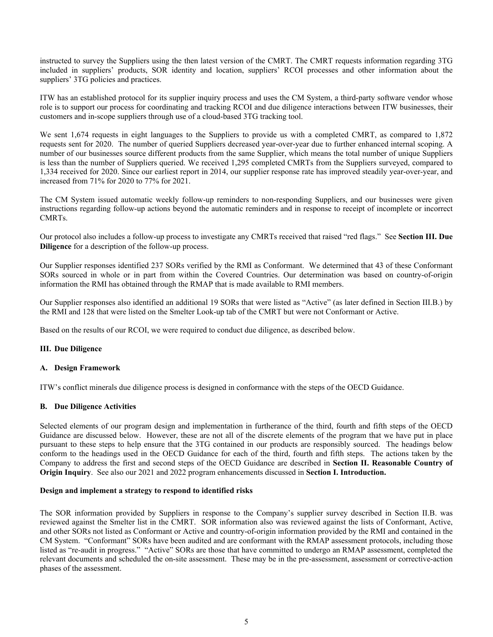instructed to survey the Suppliers using the then latest version of the CMRT. The CMRT requests information regarding 3TG included in suppliers' products, SOR identity and location, suppliers' RCOI processes and other information about the suppliers' 3TG policies and practices.

ITW has an established protocol for its supplier inquiry process and uses the CM System, a third-party software vendor whose role is to support our process for coordinating and tracking RCOI and due diligence interactions between ITW businesses, their customers and in-scope suppliers through use of a cloud-based 3TG tracking tool.

We sent 1,674 requests in eight languages to the Suppliers to provide us with a completed CMRT, as compared to 1,872 requests sent for 2020. The number of queried Suppliers decreased year-over-year due to further enhanced internal scoping. A number of our businesses source different products from the same Supplier, which means the total number of unique Suppliers is less than the number of Suppliers queried. We received 1,295 completed CMRTs from the Suppliers surveyed, compared to 1,334 received for 2020. Since our earliest report in 2014, our supplier response rate has improved steadily year-over-year, and increased from 71% for 2020 to 77% for 2021.

The CM System issued automatic weekly follow-up reminders to non-responding Suppliers, and our businesses were given instructions regarding follow-up actions beyond the automatic reminders and in response to receipt of incomplete or incorrect CMRTs.

Our protocol also includes a follow-up process to investigate any CMRTs received that raised "red flags." See **Section III. Due Diligence** for a description of the follow-up process.

Our Supplier responses identified 237 SORs verified by the RMI as Conformant. We determined that 43 of these Conformant SORs sourced in whole or in part from within the Covered Countries. Our determination was based on country-of-origin information the RMI has obtained through the RMAP that is made available to RMI members.

Our Supplier responses also identified an additional 19 SORs that were listed as "Active" (as later defined in Section III.B.) by the RMI and 128 that were listed on the Smelter Look-up tab of the CMRT but were not Conformant or Active.

Based on the results of our RCOI, we were required to conduct due diligence, as described below.

## **III. Due Diligence**

### **A. Design Framework**

ITW's conflict minerals due diligence process is designed in conformance with the steps of the OECD Guidance.

## **B. Due Diligence Activities**

Selected elements of our program design and implementation in furtherance of the third, fourth and fifth steps of the OECD Guidance are discussed below. However, these are not all of the discrete elements of the program that we have put in place pursuant to these steps to help ensure that the 3TG contained in our products are responsibly sourced. The headings below conform to the headings used in the OECD Guidance for each of the third, fourth and fifth steps. The actions taken by the Company to address the first and second steps of the OECD Guidance are described in **Section II. Reasonable Country of Origin Inquiry**. See also our 2021 and 2022 program enhancements discussed in **Section I. Introduction.**

### **Design and implement a strategy to respond to identified risks**

The SOR information provided by Suppliers in response to the Company's supplier survey described in Section II.B. was reviewed against the Smelter list in the CMRT. SOR information also was reviewed against the lists of Conformant, Active, and other SORs not listed as Conformant or Active and country-of-origin information provided by the RMI and contained in the CM System. "Conformant" SORs have been audited and are conformant with the RMAP assessment protocols, including those listed as "re-audit in progress." "Active" SORs are those that have committed to undergo an RMAP assessment, completed the relevant documents and scheduled the on-site assessment. These may be in the pre-assessment, assessment or corrective-action phases of the assessment.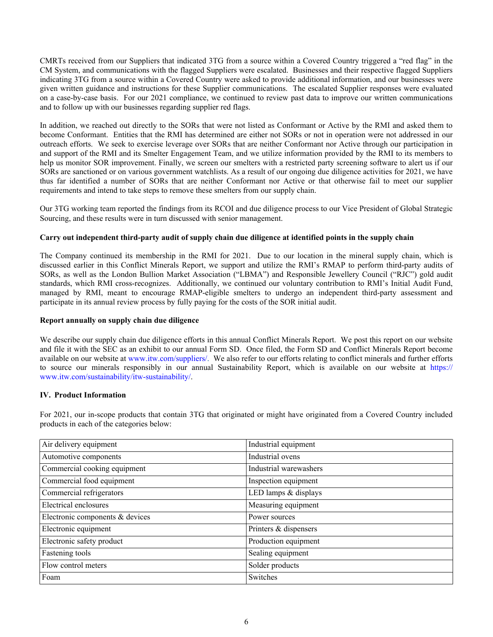CMRTs received from our Suppliers that indicated 3TG from a source within a Covered Country triggered a "red flag" in the CM System, and communications with the flagged Suppliers were escalated. Businesses and their respective flagged Suppliers indicating 3TG from a source within a Covered Country were asked to provide additional information, and our businesses were given written guidance and instructions for these Supplier communications. The escalated Supplier responses were evaluated on a case-by-case basis. For our 2021 compliance, we continued to review past data to improve our written communications and to follow up with our businesses regarding supplier red flags.

In addition, we reached out directly to the SORs that were not listed as Conformant or Active by the RMI and asked them to become Conformant. Entities that the RMI has determined are either not SORs or not in operation were not addressed in our outreach efforts. We seek to exercise leverage over SORs that are neither Conformant nor Active through our participation in and support of the RMI and its Smelter Engagement Team, and we utilize information provided by the RMI to its members to help us monitor SOR improvement. Finally, we screen our smelters with a restricted party screening software to alert us if our SORs are sanctioned or on various government watchlists. As a result of our ongoing due diligence activities for 2021, we have thus far identified a number of SORs that are neither Conformant nor Active or that otherwise fail to meet our supplier requirements and intend to take steps to remove these smelters from our supply chain.

Our 3TG working team reported the findings from its RCOI and due diligence process to our Vice President of Global Strategic Sourcing, and these results were in turn discussed with senior management.

## **Carry out independent third-party audit of supply chain due diligence at identified points in the supply chain**

The Company continued its membership in the RMI for 2021. Due to our location in the mineral supply chain, which is discussed earlier in this Conflict Minerals Report, we support and utilize the RMI's RMAP to perform third-party audits of SORs, as well as the London Bullion Market Association ("LBMA") and Responsible Jewellery Council ("RJC") gold audit standards, which RMI cross-recognizes. Additionally, we continued our voluntary contribution to RMI's Initial Audit Fund, managed by RMI, meant to encourage RMAP-eligible smelters to undergo an independent third-party assessment and participate in its annual review process by fully paying for the costs of the SOR initial audit.

### **Report annually on supply chain due diligence**

We describe our supply chain due diligence efforts in this annual Conflict Minerals Report. We post this report on our website and file it with the SEC as an exhibit to our annual Form SD. Once filed, the Form SD and Conflict Minerals Report become available on our website at www.itw.com/suppliers/. We also refer to our efforts relating to conflict minerals and further efforts to source our minerals responsibly in our annual Sustainability Report, which is available on our website at https:// www.itw.com/sustainability/itw-sustainability/.

# **IV. Product Information**

For 2021, our in-scope products that contain 3TG that originated or might have originated from a Covered Country included products in each of the categories below:

| Air delivery equipment          | Industrial equipment   |
|---------------------------------|------------------------|
| Automotive components           | Industrial ovens       |
| Commercial cooking equipment    | Industrial warewashers |
| Commercial food equipment       | Inspection equipment   |
| Commercial refrigerators        | LED lamps & displays   |
| Electrical enclosures           | Measuring equipment    |
| Electronic components & devices | Power sources          |
| Electronic equipment            | Printers & dispensers  |
| Electronic safety product       | Production equipment   |
| Fastening tools                 | Sealing equipment      |
| Flow control meters             | Solder products        |
| Foam                            | Switches               |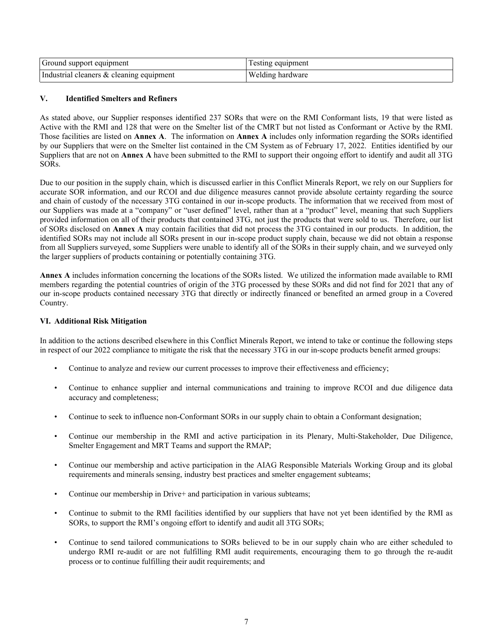| Ground support equipment                 | Testing equipment |
|------------------------------------------|-------------------|
| Industrial cleaners & cleaning equipment | Welding hardware  |

# **V. Identified Smelters and Refiners**

As stated above, our Supplier responses identified 237 SORs that were on the RMI Conformant lists, 19 that were listed as Active with the RMI and 128 that were on the Smelter list of the CMRT but not listed as Conformant or Active by the RMI. Those facilities are listed on **Annex A**. The information on **Annex A** includes only information regarding the SORs identified by our Suppliers that were on the Smelter list contained in the CM System as of February 17, 2022. Entities identified by our Suppliers that are not on **Annex A** have been submitted to the RMI to support their ongoing effort to identify and audit all 3TG SORs.

Due to our position in the supply chain, which is discussed earlier in this Conflict Minerals Report, we rely on our Suppliers for accurate SOR information, and our RCOI and due diligence measures cannot provide absolute certainty regarding the source and chain of custody of the necessary 3TG contained in our in-scope products. The information that we received from most of our Suppliers was made at a "company" or "user defined" level, rather than at a "product" level, meaning that such Suppliers provided information on all of their products that contained 3TG, not just the products that were sold to us. Therefore, our list of SORs disclosed on **Annex A** may contain facilities that did not process the 3TG contained in our products. In addition, the identified SORs may not include all SORs present in our in-scope product supply chain, because we did not obtain a response from all Suppliers surveyed, some Suppliers were unable to identify all of the SORs in their supply chain, and we surveyed only the larger suppliers of products containing or potentially containing 3TG.

**Annex A** includes information concerning the locations of the SORs listed. We utilized the information made available to RMI members regarding the potential countries of origin of the 3TG processed by these SORs and did not find for 2021 that any of our in-scope products contained necessary 3TG that directly or indirectly financed or benefited an armed group in a Covered Country.

# **VI. Additional Risk Mitigation**

In addition to the actions described elsewhere in this Conflict Minerals Report, we intend to take or continue the following steps in respect of our 2022 compliance to mitigate the risk that the necessary 3TG in our in-scope products benefit armed groups:

- Continue to analyze and review our current processes to improve their effectiveness and efficiency;
- Continue to enhance supplier and internal communications and training to improve RCOI and due diligence data accuracy and completeness;
- Continue to seek to influence non-Conformant SORs in our supply chain to obtain a Conformant designation;
- Continue our membership in the RMI and active participation in its Plenary, Multi-Stakeholder, Due Diligence, Smelter Engagement and MRT Teams and support the RMAP;
- Continue our membership and active participation in the AIAG Responsible Materials Working Group and its global requirements and minerals sensing, industry best practices and smelter engagement subteams;
- Continue our membership in Drive+ and participation in various subteams;
- Continue to submit to the RMI facilities identified by our suppliers that have not yet been identified by the RMI as SORs, to support the RMI's ongoing effort to identify and audit all 3TG SORs;
- Continue to send tailored communications to SORs believed to be in our supply chain who are either scheduled to undergo RMI re-audit or are not fulfilling RMI audit requirements, encouraging them to go through the re-audit process or to continue fulfilling their audit requirements; and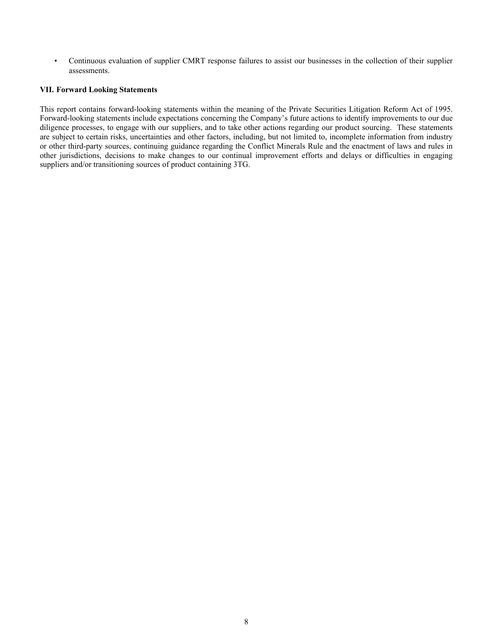• Continuous evaluation of supplier CMRT response failures to assist our businesses in the collection of their supplier assessments.

## **VII. Forward Looking Statements**

This report contains forward-looking statements within the meaning of the Private Securities Litigation Reform Act of 1995. Forward-looking statements include expectations concerning the Company's future actions to identify improvements to our due diligence processes, to engage with our suppliers, and to take other actions regarding our product sourcing. These statements are subject to certain risks, uncertainties and other factors, including, but not limited to, incomplete information from industry or other third-party sources, continuing guidance regarding the Conflict Minerals Rule and the enactment of laws and rules in other jurisdictions, decisions to make changes to our continual improvement efforts and delays or difficulties in engaging suppliers and/or transitioning sources of product containing 3TG.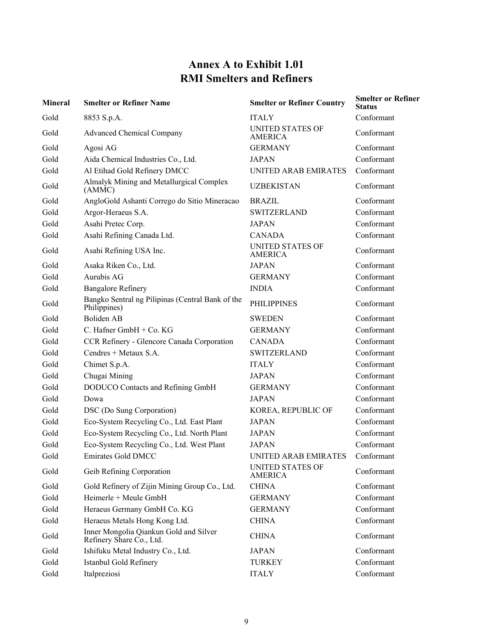# **Annex A to Exhibit 1.01 RMI Smelters and Refiners**

| <b>Mineral</b> | <b>Smelter or Refiner Name</b>                                     | <b>Smelter or Refiner Country</b>         | <b>Smelter or Refiner</b><br><b>Status</b> |
|----------------|--------------------------------------------------------------------|-------------------------------------------|--------------------------------------------|
| Gold           | 8853 S.p.A.                                                        | <b>ITALY</b>                              | Conformant                                 |
| Gold           | <b>Advanced Chemical Company</b>                                   | <b>UNITED STATES OF</b><br><b>AMERICA</b> | Conformant                                 |
| Gold           | Agosi AG                                                           | <b>GERMANY</b>                            | Conformant                                 |
| Gold           | Aida Chemical Industries Co., Ltd.                                 | <b>JAPAN</b>                              | Conformant                                 |
| Gold           | Al Etihad Gold Refinery DMCC                                       | <b>UNITED ARAB EMIRATES</b>               | Conformant                                 |
| Gold           | Almalyk Mining and Metallurgical Complex<br>(AMMC)                 | <b>UZBEKISTAN</b>                         | Conformant                                 |
| Gold           | AngloGold Ashanti Corrego do Sitio Mineracao                       | <b>BRAZIL</b>                             | Conformant                                 |
| Gold           | Argor-Heraeus S.A.                                                 | <b>SWITZERLAND</b>                        | Conformant                                 |
| Gold           | Asahi Pretec Corp.                                                 | <b>JAPAN</b>                              | Conformant                                 |
| Gold           | Asahi Refining Canada Ltd.                                         | <b>CANADA</b>                             | Conformant                                 |
| Gold           | Asahi Refining USA Inc.                                            | <b>UNITED STATES OF</b><br><b>AMERICA</b> | Conformant                                 |
| Gold           | Asaka Riken Co., Ltd.                                              | <b>JAPAN</b>                              | Conformant                                 |
| Gold           | Aurubis AG                                                         | <b>GERMANY</b>                            | Conformant                                 |
| Gold           | <b>Bangalore Refinery</b>                                          | <b>INDIA</b>                              | Conformant                                 |
| Gold           | Bangko Sentral ng Pilipinas (Central Bank of the<br>Philippines)   | <b>PHILIPPINES</b>                        | Conformant                                 |
| Gold           | <b>Boliden AB</b>                                                  | <b>SWEDEN</b>                             | Conformant                                 |
| Gold           | C. Hafner GmbH + Co. KG                                            | <b>GERMANY</b>                            | Conformant                                 |
| Gold           | CCR Refinery - Glencore Canada Corporation                         | <b>CANADA</b>                             | Conformant                                 |
| Gold           | Cendres + Metaux S.A.                                              | <b>SWITZERLAND</b>                        | Conformant                                 |
| Gold           | Chimet S.p.A.                                                      | <b>ITALY</b>                              | Conformant                                 |
| Gold           | Chugai Mining                                                      | <b>JAPAN</b>                              | Conformant                                 |
| Gold           | DODUCO Contacts and Refining GmbH                                  | <b>GERMANY</b>                            | Conformant                                 |
| Gold           | Dowa                                                               | <b>JAPAN</b>                              | Conformant                                 |
| Gold           | DSC (Do Sung Corporation)                                          | KOREA, REPUBLIC OF                        | Conformant                                 |
| Gold           | Eco-System Recycling Co., Ltd. East Plant                          | <b>JAPAN</b>                              | Conformant                                 |
| Gold           | Eco-System Recycling Co., Ltd. North Plant                         | <b>JAPAN</b>                              | Conformant                                 |
| Gold           | Eco-System Recycling Co., Ltd. West Plant                          | <b>JAPAN</b>                              | Conformant                                 |
| Gold           | Emirates Gold DMCC                                                 | UNITED ARAB EMIRATES Conformant           |                                            |
| Gold           | Geib Refining Corporation                                          | <b>UNITED STATES OF</b><br><b>AMERICA</b> | Conformant                                 |
| Gold           | Gold Refinery of Zijin Mining Group Co., Ltd.                      | <b>CHINA</b>                              | Conformant                                 |
| Gold           | Heimerle + Meule GmbH                                              | <b>GERMANY</b>                            | Conformant                                 |
| Gold           | Heraeus Germany GmbH Co. KG                                        | <b>GERMANY</b>                            | Conformant                                 |
| Gold           | Heraeus Metals Hong Kong Ltd.                                      | <b>CHINA</b>                              | Conformant                                 |
| Gold           | Inner Mongolia Qiankun Gold and Silver<br>Refinery Share Co., Ltd. | <b>CHINA</b>                              | Conformant                                 |
| Gold           | Ishifuku Metal Industry Co., Ltd.                                  | <b>JAPAN</b>                              | Conformant                                 |
| Gold           | Istanbul Gold Refinery                                             | <b>TURKEY</b>                             | Conformant                                 |
| Gold           | Italpreziosi                                                       | <b>ITALY</b>                              | Conformant                                 |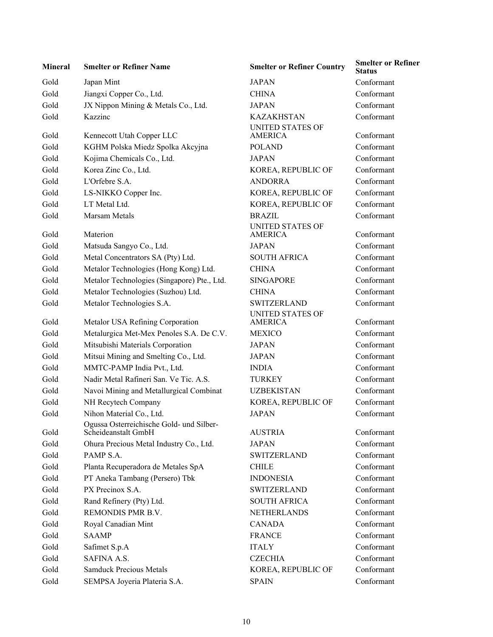| <b>Mineral</b> | <b>Smelter or Refiner Name</b>                                  | <b>Smelter or Refiner Country</b>         | <b>Status</b> |
|----------------|-----------------------------------------------------------------|-------------------------------------------|---------------|
| Gold           | Japan Mint                                                      | <b>JAPAN</b>                              | Conformant    |
| Gold           | Jiangxi Copper Co., Ltd.                                        | <b>CHINA</b>                              | Conformant    |
| Gold           | JX Nippon Mining & Metals Co., Ltd.                             | <b>JAPAN</b>                              | Conformant    |
| Gold           | Kazzinc                                                         | <b>KAZAKHSTAN</b>                         | Conformant    |
| Gold           | Kennecott Utah Copper LLC                                       | <b>UNITED STATES OF</b><br>AMERICA        | Conformant    |
| Gold           | KGHM Polska Miedz Spolka Akcyjna                                | <b>POLAND</b>                             | Conformant    |
| Gold           | Kojima Chemicals Co., Ltd.                                      | <b>JAPAN</b>                              | Conformant    |
| Gold           | Korea Zinc Co., Ltd.                                            | KOREA, REPUBLIC OF                        | Conformant    |
| Gold           | L'Orfebre S.A.                                                  | <b>ANDORRA</b>                            | Conformant    |
| Gold           | LS-NIKKO Copper Inc.                                            | KOREA, REPUBLIC OF                        | Conformant    |
| Gold           | LT Metal Ltd.                                                   | KOREA, REPUBLIC OF                        | Conformant    |
| Gold           | Marsam Metals                                                   | <b>BRAZIL</b>                             | Conformant    |
| Gold           | Materion                                                        | <b>UNITED STATES OF</b><br><b>AMERICA</b> | Conformant    |
| Gold           | Matsuda Sangyo Co., Ltd.                                        | <b>JAPAN</b>                              | Conformant    |
| Gold           | Metal Concentrators SA (Pty) Ltd.                               | <b>SOUTH AFRICA</b>                       | Conformant    |
| Gold           | Metalor Technologies (Hong Kong) Ltd.                           | <b>CHINA</b>                              | Conformant    |
| Gold           | Metalor Technologies (Singapore) Pte., Ltd.                     | <b>SINGAPORE</b>                          | Conformant    |
| Gold           | Metalor Technologies (Suzhou) Ltd.                              | <b>CHINA</b>                              | Conformant    |
| Gold           | Metalor Technologies S.A.                                       | <b>SWITZERLAND</b>                        | Conformant    |
| Gold           | Metalor USA Refining Corporation                                | <b>UNITED STATES OF</b><br>AMERICA        | Conformant    |
| Gold           | Metalurgica Met-Mex Penoles S.A. De C.V.                        | <b>MEXICO</b>                             | Conformant    |
| Gold           | Mitsubishi Materials Corporation                                | <b>JAPAN</b>                              | Conformant    |
| Gold           | Mitsui Mining and Smelting Co., Ltd.                            | <b>JAPAN</b>                              | Conformant    |
| Gold           | MMTC-PAMP India Pvt., Ltd.                                      | <b>INDIA</b>                              | Conformant    |
| Gold           | Nadir Metal Rafineri San. Ve Tic. A.S.                          | <b>TURKEY</b>                             | Conformant    |
| Gold           | Navoi Mining and Metallurgical Combinat                         | <b>UZBEKISTAN</b>                         | Conformant    |
| Gold           | NH Recytech Company                                             | KOREA, REPUBLIC OF                        | Conformant    |
| Gold           | Nihon Material Co., Ltd.                                        | <b>JAPAN</b>                              | Conformant    |
| Gold           | Ogussa Osterreichische Gold- und Silber-<br>Scheideanstalt GmbH | <b>AUSTRIA</b>                            | Conformant    |
| Gold           | Ohura Precious Metal Industry Co., Ltd.                         | <b>JAPAN</b>                              | Conformant    |
| Gold           | PAMP S.A.                                                       | <b>SWITZERLAND</b>                        | Conformant    |
| Gold           | Planta Recuperadora de Metales SpA                              | <b>CHILE</b>                              | Conformant    |
| Gold           | PT Aneka Tambang (Persero) Tbk                                  | <b>INDONESIA</b>                          | Conformant    |
| Gold           | PX Precinox S.A.                                                | <b>SWITZERLAND</b>                        | Conformant    |
| Gold           | Rand Refinery (Pty) Ltd.                                        | <b>SOUTH AFRICA</b>                       | Conformant    |
| Gold           | REMONDIS PMR B.V.                                               | <b>NETHERLANDS</b>                        | Conformant    |
| Gold           | Royal Canadian Mint                                             | <b>CANADA</b>                             | Conformant    |
| Gold           | <b>SAAMP</b>                                                    | <b>FRANCE</b>                             | Conformant    |
| Gold           | Safimet S.p.A                                                   | <b>ITALY</b>                              | Conformant    |
| Gold           | SAFINA A.S.                                                     | <b>CZECHIA</b>                            | Conformant    |
| Gold           | <b>Samduck Precious Metals</b>                                  | KOREA, REPUBLIC OF                        | Conformant    |
| Gold           | SEMPSA Joyeria Plateria S.A.                                    | <b>SPAIN</b>                              | Conformant    |
|                |                                                                 |                                           |               |

**Smelter or Refiner Country Smelter or Refiner Status** KAZAKHSTAN Conformant UNITED STATES OF AMERICA Conformant KOREA, REPUBLIC OF Conformant ANDORRA Conformant KOREA, REPUBLIC OF Conformant KOREA, REPUBLIC OF Conformant BRAZIL Conformant UNITED STATES OF AMERICA Conformant JAPAN Conformant SOUTH AFRICA Conformant SINGAPORE Conformant CHINA Conformant SWITZERLAND Conformant UNITED STATES OF Conformant JAPAN Conformant UZBEKISTAN Conformant KOREA, REPUBLIC OF Conformant JAPAN Conformant Scheideanstalt GmbH AUSTRIA Conformant SWITZERLAND Conformant CHILE Conformant INDONESIA Conformant SWITZERLAND Conformant SOUTH AFRICA Conformant NETHERLANDS Conformant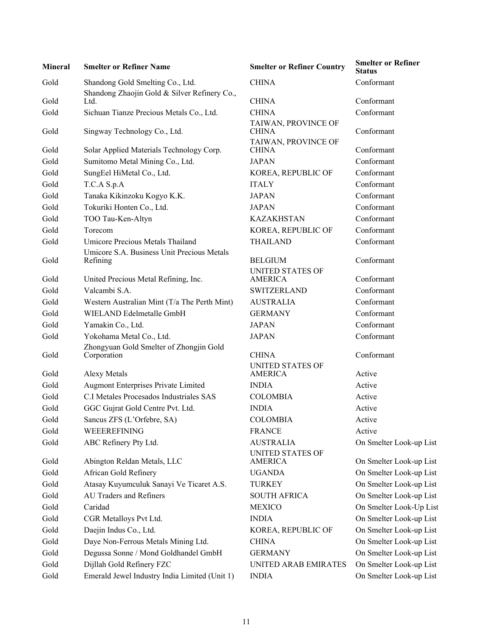| <b>Mineral</b> | <b>Smelter or Refiner Name</b>                                                   | <b>Smelter or Refiner Country</b>         | <b>Smelter or Refiner</b><br><b>Status</b> |
|----------------|----------------------------------------------------------------------------------|-------------------------------------------|--------------------------------------------|
| Gold           | Shandong Gold Smelting Co., Ltd.<br>Shandong Zhaojin Gold & Silver Refinery Co., | <b>CHINA</b>                              | Conformant                                 |
| Gold           | Ltd.                                                                             | <b>CHINA</b>                              | Conformant                                 |
| Gold           | Sichuan Tianze Precious Metals Co., Ltd.                                         | <b>CHINA</b>                              | Conformant                                 |
| Gold           | Singway Technology Co., Ltd.                                                     | TAIWAN, PROVINCE OF<br><b>CHINA</b>       | Conformant                                 |
| Gold           | Solar Applied Materials Technology Corp.                                         | TAIWAN, PROVINCE OF<br><b>CHINA</b>       | Conformant                                 |
| Gold           | Sumitomo Metal Mining Co., Ltd.                                                  | <b>JAPAN</b>                              | Conformant                                 |
| Gold           | SungEel HiMetal Co., Ltd.                                                        | KOREA, REPUBLIC OF                        | Conformant                                 |
| Gold           | T.C.A S.p.A                                                                      | <b>ITALY</b>                              | Conformant                                 |
| Gold           | Tanaka Kikinzoku Kogyo K.K.                                                      | <b>JAPAN</b>                              | Conformant                                 |
| Gold           | Tokuriki Honten Co., Ltd.                                                        | <b>JAPAN</b>                              | Conformant                                 |
| Gold           | TOO Tau-Ken-Altyn                                                                | <b>KAZAKHSTAN</b>                         | Conformant                                 |
| Gold           | Torecom                                                                          | KOREA, REPUBLIC OF                        | Conformant                                 |
| Gold           | <b>Umicore Precious Metals Thailand</b>                                          | <b>THAILAND</b>                           | Conformant                                 |
|                | Umicore S.A. Business Unit Precious Metals                                       |                                           |                                            |
| Gold           | Refining                                                                         | <b>BELGIUM</b>                            | Conformant                                 |
| Gold           | United Precious Metal Refining, Inc.                                             | <b>UNITED STATES OF</b><br><b>AMERICA</b> | Conformant                                 |
| Gold           | Valcambi S.A.                                                                    | <b>SWITZERLAND</b>                        | Conformant                                 |
| Gold           | Western Australian Mint (T/a The Perth Mint)                                     | <b>AUSTRALIA</b>                          | Conformant                                 |
| Gold           | WIELAND Edelmetalle GmbH                                                         | <b>GERMANY</b>                            | Conformant                                 |
| Gold           | Yamakin Co., Ltd.                                                                | <b>JAPAN</b>                              | Conformant                                 |
| Gold           | Yokohama Metal Co., Ltd.                                                         | <b>JAPAN</b>                              | Conformant                                 |
| Gold           | Zhongyuan Gold Smelter of Zhongjin Gold<br>Corporation                           | <b>CHINA</b>                              | Conformant                                 |
| Gold           | <b>Alexy Metals</b>                                                              | <b>UNITED STATES OF</b><br><b>AMERICA</b> | Active                                     |
| Gold           | Augmont Enterprises Private Limited                                              | <b>INDIA</b>                              | Active                                     |
| Gold           | C.I Metales Procesados Industriales SAS                                          | <b>COLOMBIA</b>                           | Active                                     |
| Gold           | GGC Gujrat Gold Centre Pvt. Ltd.                                                 | <b>INDIA</b>                              | Active                                     |
| Gold           | Sancus ZFS (L'Orfebre, SA)                                                       | <b>COLOMBIA</b>                           | Active                                     |
| Gold           | WEEEREFINING                                                                     | <b>FRANCE</b>                             | Active                                     |
| Gold           | ABC Refinery Pty Ltd.                                                            | <b>AUSTRALIA</b>                          | On Smelter Look-up List                    |
| Gold           | Abington Reldan Metals, LLC                                                      | <b>UNITED STATES OF</b><br>AMERICA        | On Smelter Look-up List                    |
| Gold           | African Gold Refinery                                                            | <b>UGANDA</b>                             | On Smelter Look-up List                    |
| Gold           | Atasay Kuyumculuk Sanayi Ve Ticaret A.S.                                         | <b>TURKEY</b>                             | On Smelter Look-up List                    |
| Gold           | AU Traders and Refiners                                                          | <b>SOUTH AFRICA</b>                       | On Smelter Look-up List                    |
| Gold           | Caridad                                                                          | <b>MEXICO</b>                             | On Smelter Look-Up List                    |
| Gold           | CGR Metalloys Pvt Ltd.                                                           | <b>INDIA</b>                              | On Smelter Look-up List                    |
| Gold           | Daejin Indus Co., Ltd.                                                           | KOREA, REPUBLIC OF                        | On Smelter Look-up List                    |
| Gold           | Daye Non-Ferrous Metals Mining Ltd.                                              | <b>CHINA</b>                              | On Smelter Look-up List                    |
| Gold           | Degussa Sonne / Mond Goldhandel GmbH                                             | <b>GERMANY</b>                            | On Smelter Look-up List                    |
| Gold           | Dijllah Gold Refinery FZC                                                        | UNITED ARAB EMIRATES                      | On Smelter Look-up List                    |
| Gold           | Emerald Jewel Industry India Limited (Unit 1)                                    | <b>INDIA</b>                              | On Smelter Look-up List                    |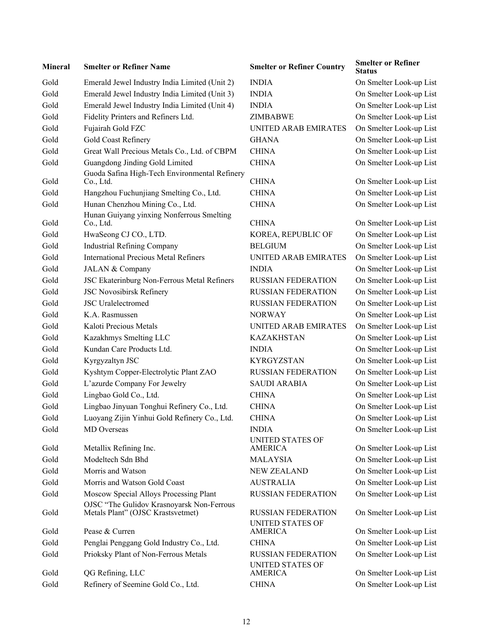| Mineral | <b>Smelter or Refiner Name</b>                                                 | <b>Smelter or Refiner Country</b>         | SMEITEL OF REHIEL<br>Status |
|---------|--------------------------------------------------------------------------------|-------------------------------------------|-----------------------------|
| Gold    | Emerald Jewel Industry India Limited (Unit 2)                                  | <b>INDIA</b>                              | On Smelter Look-up List     |
| Gold    | Emerald Jewel Industry India Limited (Unit 3)                                  | <b>INDIA</b>                              | On Smelter Look-up List     |
| Gold    | Emerald Jewel Industry India Limited (Unit 4)                                  | <b>INDIA</b>                              | On Smelter Look-up List     |
| Gold    | Fidelity Printers and Refiners Ltd.                                            | ZIMBABWE                                  | On Smelter Look-up List     |
| Gold    | Fujairah Gold FZC                                                              | <b>UNITED ARAB EMIRATES</b>               | On Smelter Look-up List     |
| Gold    | Gold Coast Refinery                                                            | <b>GHANA</b>                              | On Smelter Look-up List     |
| Gold    | Great Wall Precious Metals Co., Ltd. of CBPM                                   | <b>CHINA</b>                              | On Smelter Look-up List     |
| Gold    | Guangdong Jinding Gold Limited                                                 | <b>CHINA</b>                              | On Smelter Look-up List     |
| Gold    | Guoda Safina High-Tech Environmental Refinery<br>Co., Ltd.                     | <b>CHINA</b>                              | On Smelter Look-up List     |
| Gold    | Hangzhou Fuchunjiang Smelting Co., Ltd.                                        | <b>CHINA</b>                              | On Smelter Look-up List     |
| Gold    | Hunan Chenzhou Mining Co., Ltd.                                                | <b>CHINA</b>                              | On Smelter Look-up List     |
| Gold    | Hunan Guiyang yinxing Nonferrous Smelting<br>Co., Ltd.                         | <b>CHINA</b>                              | On Smelter Look-up List     |
| Gold    | HwaSeong CJ CO., LTD.                                                          | KOREA, REPUBLIC OF                        | On Smelter Look-up List     |
| Gold    | <b>Industrial Refining Company</b>                                             | <b>BELGIUM</b>                            | On Smelter Look-up List     |
| Gold    | <b>International Precious Metal Refiners</b>                                   | <b>UNITED ARAB EMIRATES</b>               | On Smelter Look-up List     |
| Gold    | JALAN & Company                                                                | <b>INDIA</b>                              | On Smelter Look-up List     |
| Gold    | JSC Ekaterinburg Non-Ferrous Metal Refiners                                    | <b>RUSSIAN FEDERATION</b>                 | On Smelter Look-up List     |
| Gold    | <b>JSC Novosibirsk Refinery</b>                                                | RUSSIAN FEDERATION                        | On Smelter Look-up List     |
| Gold    | <b>JSC</b> Uralelectromed                                                      | <b>RUSSIAN FEDERATION</b>                 | On Smelter Look-up List     |
| Gold    | K.A. Rasmussen                                                                 | <b>NORWAY</b>                             | On Smelter Look-up List     |
| Gold    | Kaloti Precious Metals                                                         | <b>UNITED ARAB EMIRATES</b>               | On Smelter Look-up List     |
| Gold    | Kazakhmys Smelting LLC                                                         | <b>KAZAKHSTAN</b>                         | On Smelter Look-up List     |
| Gold    | Kundan Care Products Ltd.                                                      | <b>INDIA</b>                              | On Smelter Look-up List     |
| Gold    | Kyrgyzaltyn JSC                                                                | <b>KYRGYZSTAN</b>                         | On Smelter Look-up List     |
| Gold    | Kyshtym Copper-Electrolytic Plant ZAO                                          | <b>RUSSIAN FEDERATION</b>                 | On Smelter Look-up List     |
| Gold    | L'azurde Company For Jewelry                                                   | <b>SAUDI ARABIA</b>                       | On Smelter Look-up List     |
| Gold    | Lingbao Gold Co., Ltd.                                                         | <b>CHINA</b>                              | On Smelter Look-up List     |
| Gold    | Lingbao Jinyuan Tonghui Refinery Co., Ltd.                                     | <b>CHINA</b>                              | On Smelter Look-up List     |
| Gold    | Luoyang Zijin Yinhui Gold Refinery Co., Ltd.                                   | <b>CHINA</b>                              | On Smelter Look-up List     |
| Gold    | <b>MD</b> Overseas                                                             | <b>INDIA</b>                              | On Smelter Look-up List     |
| Gold    | Metallix Refining Inc.                                                         | <b>UNITED STATES OF</b><br><b>AMERICA</b> | On Smelter Look-up List     |
| Gold    | Modeltech Sdn Bhd                                                              | <b>MALAYSIA</b>                           | On Smelter Look-up List     |
| Gold    | Morris and Watson                                                              | <b>NEW ZEALAND</b>                        | On Smelter Look-up List     |
| Gold    | Morris and Watson Gold Coast                                                   | <b>AUSTRALIA</b>                          | On Smelter Look-up List     |
| Gold    | Moscow Special Alloys Processing Plant                                         | <b>RUSSIAN FEDERATION</b>                 | On Smelter Look-up List     |
| Gold    | OJSC "The Gulidov Krasnoyarsk Non-Ferrous<br>Metals Plant" (OJSC Krastsvetmet) | <b>RUSSIAN FEDERATION</b>                 | On Smelter Look-up List     |
| Gold    | Pease & Curren                                                                 | <b>UNITED STATES OF</b><br><b>AMERICA</b> | On Smelter Look-up List     |
| Gold    | Penglai Penggang Gold Industry Co., Ltd.                                       | <b>CHINA</b>                              | On Smelter Look-up List     |
| Gold    | Prioksky Plant of Non-Ferrous Metals                                           | <b>RUSSIAN FEDERATION</b>                 | On Smelter Look-up List     |
| Gold    | QG Refining, LLC                                                               | <b>UNITED STATES OF</b><br><b>AMERICA</b> | On Smelter Look-up List     |
| Gold    | Refinery of Seemine Gold Co., Ltd.                                             | <b>CHINA</b>                              | On Smelter Look-up List     |
|         |                                                                                |                                           |                             |

| <b>Mineral</b> | <b>Smelter or Refiner Name</b>                             | <b>Smelter or Refiner Country</b>             | <b>Smelter or Refiner</b><br>Status |
|----------------|------------------------------------------------------------|-----------------------------------------------|-------------------------------------|
| Gold           | Emerald Jewel Industry India Limited (Unit 2)              | <b>INDIA</b>                                  | On Smelter Look-up List             |
| Gold           | Emerald Jewel Industry India Limited (Unit 3)              | <b>INDIA</b>                                  | On Smelter Look-up List             |
| Gold           | Emerald Jewel Industry India Limited (Unit 4)              | <b>INDIA</b>                                  | On Smelter Look-up List             |
| Gold           | Fidelity Printers and Refiners Ltd.                        | ZIMBABWE                                      | On Smelter Look-up List             |
| Gold           | Fujairah Gold FZC                                          | <b>UNITED ARAB EMIRATES</b>                   | On Smelter Look-up List             |
| Gold           | Gold Coast Refinery                                        | <b>GHANA</b>                                  | On Smelter Look-up List             |
| Gold           | Great Wall Precious Metals Co., Ltd. of CBPM               | <b>CHINA</b>                                  | On Smelter Look-up List             |
| Gold           | Guangdong Jinding Gold Limited                             | <b>CHINA</b>                                  | On Smelter Look-up List             |
| Gold           | Guoda Safina High-Tech Environmental Refinery<br>Co., Ltd. | <b>CHINA</b>                                  | On Smelter Look-up List             |
| Gold           | Hangzhou Fuchunjiang Smelting Co., Ltd.                    | <b>CHINA</b>                                  | On Smelter Look-up List             |
| Gold           | Hunan Chenzhou Mining Co., Ltd.                            | <b>CHINA</b>                                  | On Smelter Look-up List             |
| Gold           | Hunan Guiyang yinxing Nonferrous Smelting<br>Co., Ltd.     | <b>CHINA</b>                                  | On Smelter Look-up List             |
| Gold           | HwaSeong CJ CO., LTD.                                      | KOREA, REPUBLIC OF                            | On Smelter Look-up List             |
| Gold           | <b>Industrial Refining Company</b>                         | <b>BELGIUM</b>                                | On Smelter Look-up List             |
| Gold           | <b>International Precious Metal Refiners</b>               | UNITED ARAB EMIRATES                          | On Smelter Look-up List             |
| Gold           | JALAN & Company                                            | <b>INDIA</b>                                  | On Smelter Look-up List             |
| Gold           | JSC Ekaterinburg Non-Ferrous Metal Refiners                | <b>RUSSIAN FEDERATION</b>                     | On Smelter Look-up List             |
| Gold           | <b>JSC Novosibirsk Refinery</b>                            | <b>RUSSIAN FEDERATION</b>                     | On Smelter Look-up List             |
| Gold           | <b>JSC</b> Uralelectromed                                  | <b>RUSSIAN FEDERATION</b>                     | On Smelter Look-up List             |
| Gold           | K.A. Rasmussen                                             | <b>NORWAY</b>                                 | On Smelter Look-up List             |
| Gold           | Kaloti Precious Metals                                     | <b>UNITED ARAB EMIRATES</b>                   | On Smelter Look-up List             |
| Gold           | Kazakhmys Smelting LLC                                     | <b>KAZAKHSTAN</b>                             | On Smelter Look-up List             |
| Gold           | Kundan Care Products Ltd.                                  | <b>INDIA</b>                                  | On Smelter Look-up List             |
| Gold           | Kyrgyzaltyn JSC                                            | <b>KYRGYZSTAN</b>                             | On Smelter Look-up List             |
| Gold           | Kyshtym Copper-Electrolytic Plant ZAO                      | <b>RUSSIAN FEDERATION</b>                     | On Smelter Look-up List             |
| Gold           | L'azurde Company For Jewelry                               | <b>SAUDI ARABIA</b>                           | On Smelter Look-up List             |
| Gold           | Lingbao Gold Co., Ltd.                                     | <b>CHINA</b>                                  | On Smelter Look-up List             |
| Gold           | Lingbao Jinyuan Tonghui Refinery Co., Ltd.                 | <b>CHINA</b>                                  | On Smelter Look-up List             |
| Gold           | Luoyang Zijin Yinhui Gold Refinery Co., Ltd.               | <b>CHINA</b>                                  | On Smelter Look-up List             |
| Gold           | <b>MD</b> Overseas                                         | <b>INDIA</b>                                  | On Smelter Look-up List             |
| Gold           | Metallix Refining Inc.                                     | <b>UNITED STATES OF</b><br><b>AMERICA</b>     | On Smelter Look-up List             |
| Gold           | Modeltech Sdn Bhd                                          | <b>MALAYSIA</b>                               | On Smelter Look-up List             |
| Gold           | Morris and Watson                                          | <b>NEW ZEALAND</b>                            | On Smelter Look-up List             |
| Gold           | Morris and Watson Gold Coast                               | <b>AUSTRALIA</b>                              | On Smelter Look-up List             |
| Gold           | Moscow Special Alloys Processing Plant                     | <b>RUSSIAN FEDERATION</b>                     | On Smelter Look-up List             |
|                | OJSC "The Gulidov Krasnoyarsk Non-Ferrous                  |                                               |                                     |
| Gold           | Metals Plant" (OJSC Krastsvetmet)                          | <b>RUSSIAN FEDERATION</b><br>UNITED STATES OF | On Smelter Look-up List             |
| Gold           | Pease & Curren                                             | <b>AMERICA</b>                                | On Smelter Look-up List             |
| Gold           | Penglai Penggang Gold Industry Co., Ltd.                   | <b>CHINA</b>                                  | On Smelter Look-up List             |
| Gold           | Prioksky Plant of Non-Ferrous Metals                       | <b>RUSSIAN FEDERATION</b><br>UNITED STATES OF | On Smelter Look-up List             |
| Gold           | QG Refining, LLC                                           | <b>AMERICA</b>                                | On Smelter Look-up List             |
| Gold           | Refinery of Seemine Gold Co., Ltd.                         | <b>CHINA</b>                                  | On Smelter Look-up List             |

12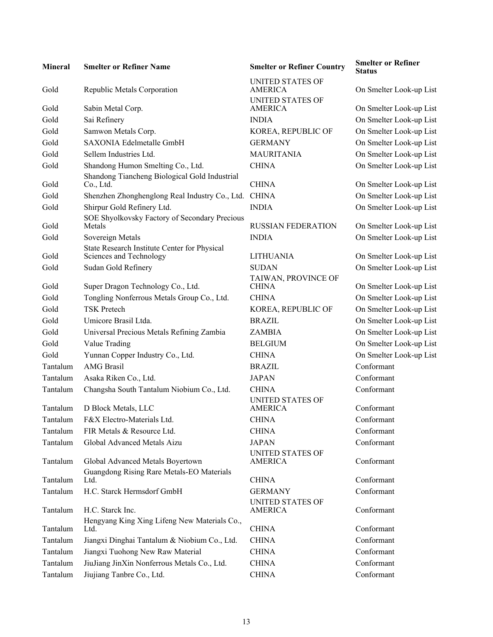| <b>Mineral</b> | <b>Smelter or Refiner Name</b>                                          | <b>Smelter or Refiner Country</b>         | <b>Smeiter</b> or<br><b>Status</b> |
|----------------|-------------------------------------------------------------------------|-------------------------------------------|------------------------------------|
| Gold           | Republic Metals Corporation                                             | UNITED STATES OF<br><b>AMERICA</b>        | On Smelter                         |
| Gold           | Sabin Metal Corp.                                                       | <b>UNITED STATES OF</b><br><b>AMERICA</b> | On Smelter                         |
| Gold           | Sai Refinery                                                            | <b>INDIA</b>                              | On Smelter                         |
| Gold           | Samwon Metals Corp.                                                     | KOREA, REPUBLIC OF                        | On Smelter                         |
| Gold           | SAXONIA Edelmetalle GmbH                                                | <b>GERMANY</b>                            | On Smelter                         |
| Gold           | Sellem Industries Ltd.                                                  | <b>MAURITANIA</b>                         | On Smelter                         |
| Gold           | Shandong Humon Smelting Co., Ltd.                                       | <b>CHINA</b>                              | On Smelter                         |
|                | Shandong Tiancheng Biological Gold Industrial                           |                                           |                                    |
| Gold           | Co., Ltd.                                                               | <b>CHINA</b>                              | On Smelter                         |
| Gold           | Shenzhen Zhonghenglong Real Industry Co., Ltd.                          | <b>CHINA</b>                              | On Smelter                         |
| Gold           | Shirpur Gold Refinery Ltd.                                              | <b>INDIA</b>                              | On Smelter                         |
| Gold           | SOE Shyolkovsky Factory of Secondary Precious<br>Metals                 | <b>RUSSIAN FEDERATION</b>                 | On Smelter                         |
| Gold           | Sovereign Metals                                                        | <b>INDIA</b>                              | On Smelter                         |
| Gold           | State Research Institute Center for Physical<br>Sciences and Technology | <b>LITHUANIA</b>                          | On Smelter                         |
| Gold           | Sudan Gold Refinery                                                     | <b>SUDAN</b>                              | On Smelter                         |
| Gold           | Super Dragon Technology Co., Ltd.                                       | TAIWAN, PROVINCE OF<br><b>CHINA</b>       | On Smelter                         |
| Gold           | Tongling Nonferrous Metals Group Co., Ltd.                              | <b>CHINA</b>                              | On Smelter                         |
| Gold           | <b>TSK Pretech</b>                                                      | KOREA, REPUBLIC OF                        | On Smelter                         |
| Gold           | Umicore Brasil Ltda.                                                    | <b>BRAZIL</b>                             | On Smelter                         |
| Gold           | Universal Precious Metals Refining Zambia                               | <b>ZAMBIA</b>                             | On Smelter                         |
| Gold           | Value Trading                                                           | <b>BELGIUM</b>                            | On Smelter                         |
| Gold           | Yunnan Copper Industry Co., Ltd.                                        | <b>CHINA</b>                              | On Smelter                         |
| Tantalum       | <b>AMG</b> Brasil                                                       | <b>BRAZIL</b>                             | Conformant                         |
| Tantalum       | Asaka Riken Co., Ltd.                                                   | <b>JAPAN</b>                              | Conformant                         |
| Tantalum       | Changsha South Tantalum Niobium Co., Ltd.                               | <b>CHINA</b>                              | Conformant                         |
| Tantalum       | D Block Metals, LLC                                                     | <b>UNITED STATES OF</b><br><b>AMERICA</b> | Conformant                         |
| Tantalum       | F&X Electro-Materials Ltd.                                              | <b>CHINA</b>                              | Conformant                         |
| Tantalum       | FIR Metals & Resource Ltd.                                              | <b>CHINA</b>                              | Conformant                         |
| Tantalum       | Global Advanced Metals Aizu                                             | <b>JAPAN</b>                              | Conformant                         |
| Tantalum       | Global Advanced Metals Boyertown                                        | <b>UNITED STATES OF</b><br><b>AMERICA</b> | Conformant                         |
| Tantalum       | Guangdong Rising Rare Metals-EO Materials<br>Ltd.                       | <b>CHINA</b>                              | Conformant                         |
| Tantalum       | H.C. Starck Hermsdorf GmbH                                              | <b>GERMANY</b>                            | Conformant                         |
| Tantalum       | H.C. Starck Inc.                                                        | <b>UNITED STATES OF</b><br>AMERICA        | Conformant                         |
| Tantalum       | Hengyang King Xing Lifeng New Materials Co.,<br>Ltd.                    | <b>CHINA</b>                              | Conformant                         |
| Tantalum       | Jiangxi Dinghai Tantalum & Niobium Co., Ltd.                            | <b>CHINA</b>                              | Conformant                         |
| Tantalum       | Jiangxi Tuohong New Raw Material                                        | <b>CHINA</b>                              | Conformant                         |
| Tantalum       | JiuJiang JinXin Nonferrous Metals Co., Ltd.                             | <b>CHINA</b>                              | Conformant                         |
| Tantalum       | Jiujiang Tanbre Co., Ltd.                                               | <b>CHINA</b>                              | Conformant                         |

**Smelter or Refiner Country Smelter or Refiner** UNITED STATES OF UNITED STATES OF INDIA On Smelter Look-up List KOREA, REPUBLIC OF On Smelter Look-up List GERMANY On Smelter Look-up List MAURITANIA On Smelter Look-up List CHINA On Smelter Look-up List CHINA On Smelter Look-up List CHINA On Smelter Look-up List INDIA On Smelter Look-up List RUSSIAN FEDERATION On Smelter Look-up List INDIA On Smelter Look-up List LITHUANIA On Smelter Look-up List SUDAN On Smelter Look-up List TAIWAN, PROVINCE OF CHINA On Smelter Look-up List KOREA, REPUBLIC OF On Smelter Look-up List BRAZIL On Smelter Look-up List ZAMBIA On Smelter Look-up List BELGIUM On Smelter Look-up List CHINA On Smelter Look-up List UNITED STATES OF AMERICA Conformant UNITED STATES OF AMERICA Conformant CHINA Conformant GERMANY Conformant UNITED STATES OF CHINA Conformant

**Status**

On Smelter Look-up List

On Smelter Look-up List

On Smelter Look-up List Conformant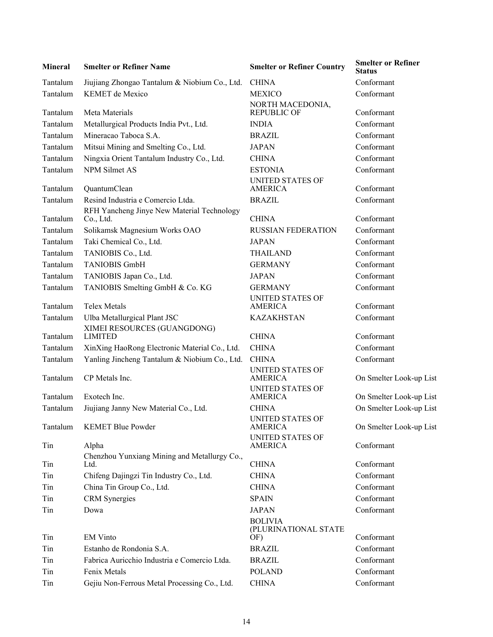| <b>Mineral</b> | <b>Smelter or Refiner Name</b>                          | <b>Smelter or Refiner Country</b>         | <b>Smelter or Refiner</b><br><b>Status</b> |
|----------------|---------------------------------------------------------|-------------------------------------------|--------------------------------------------|
| Tantalum       | Jiujiang Zhongao Tantalum & Niobium Co., Ltd.           | <b>CHINA</b>                              | Conformant                                 |
| Tantalum       | <b>KEMET</b> de Mexico                                  | <b>MEXICO</b>                             | Conformant                                 |
| Tantalum       | Meta Materials                                          | NORTH MACEDONIA,<br><b>REPUBLIC OF</b>    | Conformant                                 |
| Tantalum       | Metallurgical Products India Pvt., Ltd.                 | <b>INDIA</b>                              | Conformant                                 |
| Tantalum       | Mineracao Taboca S.A.                                   | <b>BRAZIL</b>                             | Conformant                                 |
| Tantalum       | Mitsui Mining and Smelting Co., Ltd.                    | <b>JAPAN</b>                              | Conformant                                 |
| Tantalum       | Ningxia Orient Tantalum Industry Co., Ltd.              | <b>CHINA</b>                              | Conformant                                 |
| Tantalum       | <b>NPM Silmet AS</b>                                    | <b>ESTONIA</b>                            | Conformant                                 |
| Tantalum       | QuantumClean                                            | <b>UNITED STATES OF</b><br><b>AMERICA</b> | Conformant                                 |
| Tantalum       | Resind Industria e Comercio Ltda.                       | <b>BRAZIL</b>                             | Conformant                                 |
| Tantalum       | RFH Yancheng Jinye New Material Technology<br>Co., Ltd. | <b>CHINA</b>                              | Conformant                                 |
| Tantalum       | Solikamsk Magnesium Works OAO                           | <b>RUSSIAN FEDERATION</b>                 | Conformant                                 |
| Tantalum       | Taki Chemical Co., Ltd.                                 | <b>JAPAN</b>                              | Conformant                                 |
| Tantalum       | TANIOBIS Co., Ltd.                                      | <b>THAILAND</b>                           | Conformant                                 |
| Tantalum       | <b>TANIOBIS GmbH</b>                                    | <b>GERMANY</b>                            | Conformant                                 |
| Tantalum       | TANIOBIS Japan Co., Ltd.                                | <b>JAPAN</b>                              | Conformant                                 |
| Tantalum       | TANIOBIS Smelting GmbH & Co. KG                         | <b>GERMANY</b>                            | Conformant                                 |
|                |                                                         | <b>UNITED STATES OF</b>                   |                                            |
| Tantalum       | <b>Telex Metals</b>                                     | <b>AMERICA</b>                            | Conformant                                 |
| Tantalum       | Ulba Metallurgical Plant JSC                            | <b>KAZAKHSTAN</b>                         | Conformant                                 |
| Tantalum       | XIMEI RESOURCES (GUANGDONG)<br><b>LIMITED</b>           | <b>CHINA</b>                              | Conformant                                 |
| Tantalum       | XinXing HaoRong Electronic Material Co., Ltd.           | <b>CHINA</b>                              | Conformant                                 |
| Tantalum       | Yanling Jincheng Tantalum & Niobium Co., Ltd.           | <b>CHINA</b>                              | Conformant                                 |
| Tantalum       | CP Metals Inc.                                          | <b>UNITED STATES OF</b><br><b>AMERICA</b> | On Smelter Look-up List                    |
|                |                                                         | UNITED STATES OF                          |                                            |
| Tantalum       | Exotech Inc.                                            | <b>AMERICA</b>                            | On Smelter Look-up List                    |
| Tantalum       | Jiujiang Janny New Material Co., Ltd.                   | <b>CHINA</b>                              | On Smelter Look-up List                    |
| Tantalum       | <b>KEMET Blue Powder</b>                                | <b>UNITED STATES OF</b><br><b>AMERICA</b> | On Smelter Look-up List                    |
| Tin            | Alpha                                                   | <b>UNITED STATES OF</b><br><b>AMERICA</b> | Conformant                                 |
| Tin            | Chenzhou Yunxiang Mining and Metallurgy Co.,<br>Ltd.    | <b>CHINA</b>                              | Conformant                                 |
| Tin            | Chifeng Dajingzi Tin Industry Co., Ltd.                 | <b>CHINA</b>                              | Conformant                                 |
| Tin            | China Tin Group Co., Ltd.                               | <b>CHINA</b>                              | Conformant                                 |
| Tin            | <b>CRM</b> Synergies                                    | <b>SPAIN</b>                              | Conformant                                 |
| Tin            | Dowa                                                    | <b>JAPAN</b>                              | Conformant                                 |
|                |                                                         | <b>BOLIVIA</b><br>(PLURINATIONAL STATE    |                                            |
| Tin            | <b>EM Vinto</b>                                         | OF)                                       | Conformant                                 |
| Tin            | Estanho de Rondonia S.A.                                | <b>BRAZIL</b>                             | Conformant                                 |
| Tin            | Fabrica Auricchio Industria e Comercio Ltda.            | <b>BRAZIL</b>                             | Conformant                                 |
| Tin            | Fenix Metals                                            | <b>POLAND</b>                             | Conformant                                 |
| Tin            | Gejiu Non-Ferrous Metal Processing Co., Ltd.            | <b>CHINA</b>                              | Conformant                                 |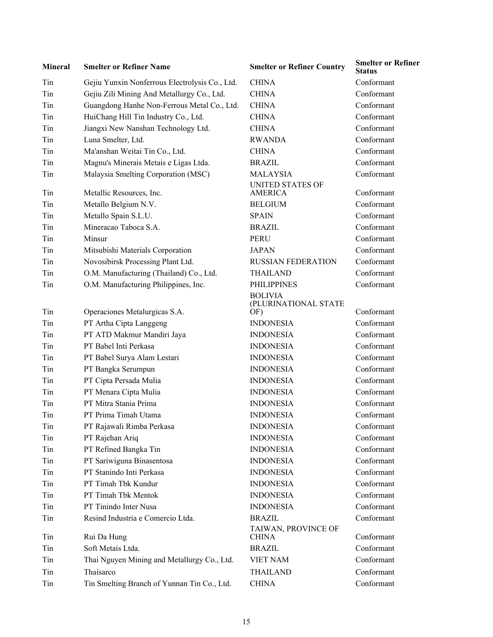| <b>Mineral</b> | <b>Smelter or Refiner Name</b>                 | <b>Smelter or Refiner Country</b>         | <b>Smelter or Refiner</b><br><b>Status</b> |
|----------------|------------------------------------------------|-------------------------------------------|--------------------------------------------|
| Tin            | Gejiu Yunxin Nonferrous Electrolysis Co., Ltd. | <b>CHINA</b>                              | Conformant                                 |
| Tin            | Gejiu Zili Mining And Metallurgy Co., Ltd.     | <b>CHINA</b>                              | Conformant                                 |
| Tin            | Guangdong Hanhe Non-Ferrous Metal Co., Ltd.    | <b>CHINA</b>                              | Conformant                                 |
| Tin            | HuiChang Hill Tin Industry Co., Ltd.           | <b>CHINA</b>                              | Conformant                                 |
| Tin            | Jiangxi New Nanshan Technology Ltd.            | <b>CHINA</b>                              | Conformant                                 |
| Tin            | Luna Smelter, Ltd.                             | <b>RWANDA</b>                             | Conformant                                 |
| Tin            | Ma'anshan Weitai Tin Co., Ltd.                 | <b>CHINA</b>                              | Conformant                                 |
| Tin            | Magnu's Minerais Metais e Ligas Ltda.          | <b>BRAZIL</b>                             | Conformant                                 |
| Tin            | Malaysia Smelting Corporation (MSC)            | <b>MALAYSIA</b>                           | Conformant                                 |
| Tin            | Metallic Resources, Inc.                       | <b>UNITED STATES OF</b><br><b>AMERICA</b> | Conformant                                 |
| Tin            | Metallo Belgium N.V.                           | <b>BELGIUM</b>                            | Conformant                                 |
| Tin            | Metallo Spain S.L.U.                           | <b>SPAIN</b>                              | Conformant                                 |
| Tin            | Mineracao Taboca S.A.                          | <b>BRAZIL</b>                             | Conformant                                 |
| Tin            | Minsur                                         | <b>PERU</b>                               | Conformant                                 |
| Tin            | Mitsubishi Materials Corporation               | <b>JAPAN</b>                              | Conformant                                 |
| Tin            | Novosibirsk Processing Plant Ltd.              | <b>RUSSIAN FEDERATION</b>                 | Conformant                                 |
| Tin            | O.M. Manufacturing (Thailand) Co., Ltd.        | <b>THAILAND</b>                           | Conformant                                 |
| Tin            | O.M. Manufacturing Philippines, Inc.           | <b>PHILIPPINES</b>                        | Conformant                                 |
|                |                                                | <b>BOLIVIA</b><br>(PLURINATIONAL STATE    |                                            |
| Tin            | Operaciones Metalurgicas S.A.                  | OF)                                       | Conformant<br>Conformant                   |
| Tin            | PT Artha Cipta Langgeng                        | <b>INDONESIA</b>                          |                                            |
| Tin            | PT ATD Makmur Mandiri Jaya                     | <b>INDONESIA</b>                          | Conformant                                 |
| Tin            | PT Babel Inti Perkasa                          | <b>INDONESIA</b>                          | Conformant                                 |
| Tin            | PT Babel Surya Alam Lestari                    | <b>INDONESIA</b>                          | Conformant                                 |
| Tin            | PT Bangka Serumpun                             | <b>INDONESIA</b>                          | Conformant                                 |
| Tin            | PT Cipta Persada Mulia                         | <b>INDONESIA</b>                          | Conformant                                 |
| Tin            | PT Menara Cipta Mulia                          | <b>INDONESIA</b>                          | Conformant                                 |
| Tin            | PT Mitra Stania Prima                          | <b>INDONESIA</b>                          | Conformant                                 |
| Tin            | PT Prima Timah Utama                           | <b>INDONESIA</b>                          | Conformant                                 |
| Tin            | PT Rajawali Rimba Perkasa                      | <b>INDONESIA</b>                          | Conformant                                 |
| Tin            | PT Rajehan Ariq                                | <b>INDONESIA</b>                          | Conformant                                 |
| Tin            | PT Refined Bangka Tin                          | <b>INDONESIA</b>                          | Conformant                                 |
| Tin            | PT Sariwiguna Binasentosa                      | <b>INDONESIA</b>                          | Conformant                                 |
| Tin            | PT Stanindo Inti Perkasa                       | <b>INDONESIA</b>                          | Conformant                                 |
| Tin            | PT Timah Tbk Kundur                            | <b>INDONESIA</b>                          | Conformant                                 |
| Tin            | PT Timah Tbk Mentok                            | <b>INDONESIA</b>                          | Conformant                                 |
| Tin            | PT Tinindo Inter Nusa                          | <b>INDONESIA</b>                          | Conformant                                 |
| Tin            | Resind Industria e Comercio Ltda.              | <b>BRAZIL</b>                             | Conformant                                 |
| Tin            | Rui Da Hung                                    | TAIWAN, PROVINCE OF<br><b>CHINA</b>       | Conformant                                 |
| Tin            | Soft Metais Ltda.                              | <b>BRAZIL</b>                             | Conformant                                 |
| Tin            | Thai Nguyen Mining and Metallurgy Co., Ltd.    | <b>VIET NAM</b>                           | Conformant                                 |
| Tin            | Thaisarco                                      | <b>THAILAND</b>                           | Conformant                                 |
| Tin            | Tin Smelting Branch of Yunnan Tin Co., Ltd.    | <b>CHINA</b>                              | Conformant                                 |

| <b>Smelter or Refiner Country</b>             | <b>Smelter or Refin</b><br>Status |
|-----------------------------------------------|-----------------------------------|
| CHINA                                         | Conformant                        |
| <b>CHINA</b>                                  | Conformant                        |
| <b>CHINA</b>                                  | Conformant                        |
| CHINA                                         | Conformant                        |
| CHINA                                         | Conformant                        |
| RWANDA                                        | Conformant                        |
| CHINA                                         | Conformant                        |
| BRAZIL                                        | Conformant                        |
| MALAYSIA                                      | Conformant                        |
| UNITED STATES OF<br><b>AMERICA</b>            | Conformant                        |
| BELGIUM                                       | Conformant                        |
| SPAIN                                         | Conformant                        |
| <b>BRAZIL</b>                                 | Conformant                        |
| PERU                                          | Conformant                        |
| <b>JAPAN</b>                                  | Conformant                        |
| RUSSIAN FEDERATION                            | Conformant                        |
| <b>THAILAND</b>                               | Conformant                        |
| PHILIPPINES                                   | Conformant                        |
| <b>BOLIVIA</b><br>(PLURINATIONAL STATE<br>ÒF) | Conformant                        |
| <b>INDONESIA</b>                              | Conformant                        |
| INDONESIA                                     | Conformant                        |
| INDONESIA                                     | Conformant                        |
| INDONESIA                                     | Conformant                        |
| INDONESIA                                     | Conformant                        |
| INDONESIA                                     | Conformant                        |
| <b>INDONESIA</b>                              | Conformant                        |
| <b>INDONESIA</b>                              | Conformant                        |
| INDONESIA                                     | Conformant                        |
| INDONESIA                                     | Conformant                        |
| INDONESIA                                     | Conformant                        |
| INDONESIA                                     | Conformant                        |
| INDONESIA                                     | Conformant                        |
| INDONESIA                                     | Conformant                        |
| <b>INDONESIA</b>                              | Conformant                        |
| <b>INDONESIA</b>                              | Conformant                        |
| <b>INDONESIA</b>                              | Conformant                        |
| BRAZIL                                        | Conformant                        |
| TAIWAN, PROVINCE OF<br><b>CHINA</b>           | Conformant                        |
| BRAZIL                                        | Conformant                        |
| <b>VIET NAM</b>                               | Conformant                        |
| THAILAND                                      | Conformant                        |
| <b>CHINA</b>                                  | Conformant                        |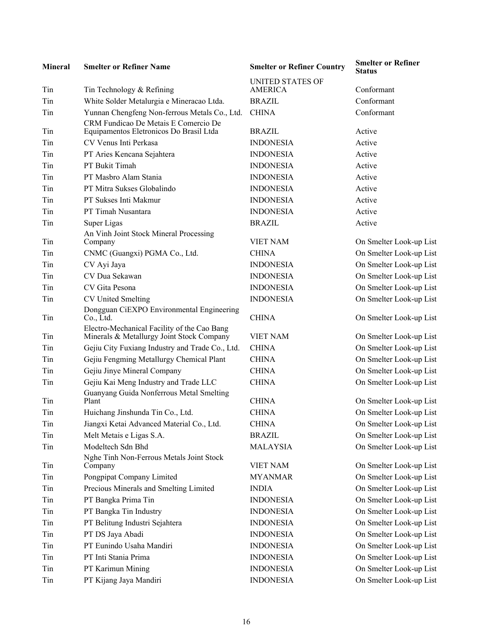| <b>Mineral</b> | <b>Smelter or Refiner Name</b>                                                           | <b>Smelter or Refiner Country</b>         | <b>Smelter or Refiner</b><br><b>Status</b> |
|----------------|------------------------------------------------------------------------------------------|-------------------------------------------|--------------------------------------------|
| Tin            | Tin Technology & Refining                                                                | <b>UNITED STATES OF</b><br><b>AMERICA</b> | Conformant                                 |
| Tin            | White Solder Metalurgia e Mineracao Ltda.                                                | <b>BRAZIL</b>                             | Conformant                                 |
| Tin            | Yunnan Chengfeng Non-ferrous Metals Co., Ltd.                                            | <b>CHINA</b>                              | Conformant                                 |
|                | CRM Fundicao De Metais E Comercio De                                                     |                                           |                                            |
| Tin            | Equipamentos Eletronicos Do Brasil Ltda                                                  | <b>BRAZIL</b>                             | Active                                     |
| Tin            | CV Venus Inti Perkasa                                                                    | <b>INDONESIA</b>                          | Active                                     |
| Tin            | PT Aries Kencana Sejahtera                                                               | <b>INDONESIA</b>                          | Active                                     |
| Tin            | PT Bukit Timah                                                                           | <b>INDONESIA</b>                          | Active                                     |
| Tin            | PT Masbro Alam Stania                                                                    | <b>INDONESIA</b>                          | Active                                     |
| Tin            | PT Mitra Sukses Globalindo                                                               | <b>INDONESIA</b>                          | Active                                     |
| Tin            | PT Sukses Inti Makmur                                                                    | <b>INDONESIA</b>                          | Active                                     |
| Tin            | PT Timah Nusantara                                                                       | <b>INDONESIA</b>                          | Active                                     |
| Tin            | Super Ligas                                                                              | <b>BRAZIL</b>                             | Active                                     |
| Tin            | An Vinh Joint Stock Mineral Processing<br>Company                                        | <b>VIET NAM</b>                           | On Smelter Look-up List                    |
| Tin            | CNMC (Guangxi) PGMA Co., Ltd.                                                            | <b>CHINA</b>                              | On Smelter Look-up List                    |
| Tin            | CV Ayi Jaya                                                                              | <b>INDONESIA</b>                          | On Smelter Look-up List                    |
| Tin            | CV Dua Sekawan                                                                           | <b>INDONESIA</b>                          | On Smelter Look-up List                    |
| Tin            | CV Gita Pesona                                                                           | <b>INDONESIA</b>                          | On Smelter Look-up List                    |
| Tin            | <b>CV United Smelting</b>                                                                | <b>INDONESIA</b>                          | On Smelter Look-up List                    |
| Tin            | Dongguan CiEXPO Environmental Engineering<br>$Co$ , Ltd.                                 | <b>CHINA</b>                              | On Smelter Look-up List                    |
| Tin            | Electro-Mechanical Facility of the Cao Bang<br>Minerals & Metallurgy Joint Stock Company | <b>VIET NAM</b>                           | On Smelter Look-up List                    |
| Tin            | Gejiu City Fuxiang Industry and Trade Co., Ltd.                                          | <b>CHINA</b>                              | On Smelter Look-up List                    |
| Tin            | Gejiu Fengming Metallurgy Chemical Plant                                                 | <b>CHINA</b>                              | On Smelter Look-up List                    |
| Tin            | Gejiu Jinye Mineral Company                                                              | <b>CHINA</b>                              | On Smelter Look-up List                    |
| Tin            | Gejiu Kai Meng Industry and Trade LLC                                                    | <b>CHINA</b>                              | On Smelter Look-up List                    |
| Tin            | Guanyang Guida Nonferrous Metal Smelting<br>Plant                                        | <b>CHINA</b>                              | On Smelter Look-up List                    |
| Tin            | Huichang Jinshunda Tin Co., Ltd.                                                         | <b>CHINA</b>                              | On Smelter Look-up List                    |
| Tin            | Jiangxi Ketai Advanced Material Co., Ltd.                                                | <b>CHINA</b>                              | On Smelter Look-up List                    |
| Tin            | Melt Metais e Ligas S.A.                                                                 | <b>BRAZIL</b>                             | On Smelter Look-up List                    |
| Tin            | Modeltech Sdn Bhd                                                                        | <b>MALAYSIA</b>                           | On Smelter Look-up List                    |
| Tin            | Nghe Tinh Non-Ferrous Metals Joint Stock<br>Company                                      | <b>VIET NAM</b>                           | On Smelter Look-up List                    |
| Tin            | Pongpipat Company Limited                                                                | <b>MYANMAR</b>                            | On Smelter Look-up List                    |
| Tin            | Precious Minerals and Smelting Limited                                                   | <b>INDIA</b>                              | On Smelter Look-up List                    |
| Tin            | PT Bangka Prima Tin                                                                      | <b>INDONESIA</b>                          | On Smelter Look-up List                    |
| Tin            | PT Bangka Tin Industry                                                                   | <b>INDONESIA</b>                          | On Smelter Look-up List                    |
| Tin            | PT Belitung Industri Sejahtera                                                           | <b>INDONESIA</b>                          | On Smelter Look-up List                    |
| Tin            | PT DS Jaya Abadi                                                                         | <b>INDONESIA</b>                          | On Smelter Look-up List                    |
| Tin            | PT Eunindo Usaha Mandiri                                                                 | <b>INDONESIA</b>                          | On Smelter Look-up List                    |
| Tin            | PT Inti Stania Prima                                                                     | <b>INDONESIA</b>                          | On Smelter Look-up List                    |
| Tin            | PT Karimun Mining                                                                        | <b>INDONESIA</b>                          | On Smelter Look-up List                    |
| Tin            | PT Kijang Jaya Mandiri                                                                   | <b>INDONESIA</b>                          | On Smelter Look-up List                    |
|                |                                                                                          |                                           |                                            |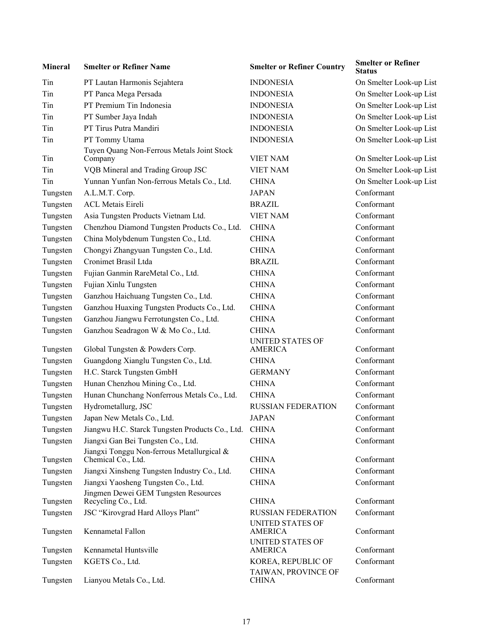| <b>Mineral</b> | <b>Smelter or Refiner Name</b>                                   | <b>Smelter or Refiner Country</b>         | <b>Smelter or Refiner</b><br>Status |
|----------------|------------------------------------------------------------------|-------------------------------------------|-------------------------------------|
| Tin            | PT Lautan Harmonis Sejahtera                                     | <b>INDONESIA</b>                          | On Smelter Look-up List             |
| Tin            | PT Panca Mega Persada                                            | <b>INDONESIA</b>                          | On Smelter Look-up List             |
| Tin            | PT Premium Tin Indonesia                                         | <b>INDONESIA</b>                          | On Smelter Look-up List             |
| Tin            | PT Sumber Jaya Indah                                             | <b>INDONESIA</b>                          | On Smelter Look-up List             |
| Tin            | PT Tirus Putra Mandiri                                           | <b>INDONESIA</b>                          | On Smelter Look-up List             |
| Tin            | PT Tommy Utama                                                   | <b>INDONESIA</b>                          | On Smelter Look-up List             |
| Tin            | Tuyen Quang Non-Ferrous Metals Joint Stock<br>Company            | <b>VIET NAM</b>                           | On Smelter Look-up List             |
| Tin            | VQB Mineral and Trading Group JSC                                | <b>VIET NAM</b>                           | On Smelter Look-up List             |
| Tin            | Yunnan Yunfan Non-ferrous Metals Co., Ltd.                       | <b>CHINA</b>                              | On Smelter Look-up List             |
| Tungsten       | A.L.M.T. Corp.                                                   | <b>JAPAN</b>                              | Conformant                          |
| Tungsten       | <b>ACL Metais Eireli</b>                                         | <b>BRAZIL</b>                             | Conformant                          |
| Tungsten       | Asia Tungsten Products Vietnam Ltd.                              | <b>VIET NAM</b>                           | Conformant                          |
| Tungsten       | Chenzhou Diamond Tungsten Products Co., Ltd.                     | <b>CHINA</b>                              | Conformant                          |
| Tungsten       | China Molybdenum Tungsten Co., Ltd.                              | <b>CHINA</b>                              | Conformant                          |
| Tungsten       | Chongyi Zhangyuan Tungsten Co., Ltd.                             | <b>CHINA</b>                              | Conformant                          |
| Tungsten       | Cronimet Brasil Ltda                                             | <b>BRAZIL</b>                             | Conformant                          |
| Tungsten       | Fujian Ganmin RareMetal Co., Ltd.                                | <b>CHINA</b>                              | Conformant                          |
| Tungsten       | Fujian Xinlu Tungsten                                            | <b>CHINA</b>                              | Conformant                          |
| Tungsten       | Ganzhou Haichuang Tungsten Co., Ltd.                             | <b>CHINA</b>                              | Conformant                          |
| Tungsten       | Ganzhou Huaxing Tungsten Products Co., Ltd.                      | <b>CHINA</b>                              | Conformant                          |
| Tungsten       | Ganzhou Jiangwu Ferrotungsten Co., Ltd.                          | <b>CHINA</b>                              | Conformant                          |
| Tungsten       | Ganzhou Seadragon W & Mo Co., Ltd.                               | <b>CHINA</b>                              | Conformant                          |
|                |                                                                  | <b>UNITED STATES OF</b>                   |                                     |
| Tungsten       | Global Tungsten & Powders Corp.                                  | <b>AMERICA</b>                            | Conformant                          |
| Tungsten       | Guangdong Xianglu Tungsten Co., Ltd.                             | <b>CHINA</b>                              | Conformant                          |
| Tungsten       | H.C. Starck Tungsten GmbH                                        | <b>GERMANY</b>                            | Conformant                          |
| Tungsten       | Hunan Chenzhou Mining Co., Ltd.                                  | <b>CHINA</b>                              | Conformant                          |
| Tungsten       | Hunan Chunchang Nonferrous Metals Co., Ltd.                      | <b>CHINA</b>                              | Conformant                          |
| Tungsten       | Hydrometallurg, JSC                                              | RUSSIAN FEDERATION                        | Conformant                          |
| Tungsten       | Japan New Metals Co., Ltd.                                       | JAPAN                                     | Conformant                          |
| Tungsten       | Jiangwu H.C. Starck Tungsten Products Co., Ltd.                  | <b>CHINA</b>                              | Conformant                          |
| Tungsten       | Jiangxi Gan Bei Tungsten Co., Ltd.                               | <b>CHINA</b>                              | Conformant                          |
| Tungsten       | Jiangxi Tonggu Non-ferrous Metallurgical &<br>Chemical Co., Ltd. | <b>CHINA</b>                              | Conformant                          |
| Tungsten       | Jiangxi Xinsheng Tungsten Industry Co., Ltd.                     | <b>CHINA</b>                              | Conformant                          |
| Tungsten       | Jiangxi Yaosheng Tungsten Co., Ltd.                              | <b>CHINA</b>                              | Conformant                          |
|                | Jingmen Dewei GEM Tungsten Resources                             |                                           |                                     |
| Tungsten       | Recycling Co., Ltd.                                              | <b>CHINA</b>                              | Conformant                          |
| Tungsten       | JSC "Kirovgrad Hard Alloys Plant"                                | <b>RUSSIAN FEDERATION</b>                 | Conformant                          |
| Tungsten       | Kennametal Fallon                                                | <b>UNITED STATES OF</b><br><b>AMERICA</b> | Conformant                          |
| Tungsten       | Kennametal Huntsville                                            | <b>UNITED STATES OF</b><br><b>AMERICA</b> | Conformant                          |
| Tungsten       | KGETS Co., Ltd.                                                  | KOREA, REPUBLIC OF                        | Conformant                          |
| Tungsten       | Lianyou Metals Co., Ltd.                                         | TAIWAN, PROVINCE OF<br><b>CHINA</b>       | Conformant                          |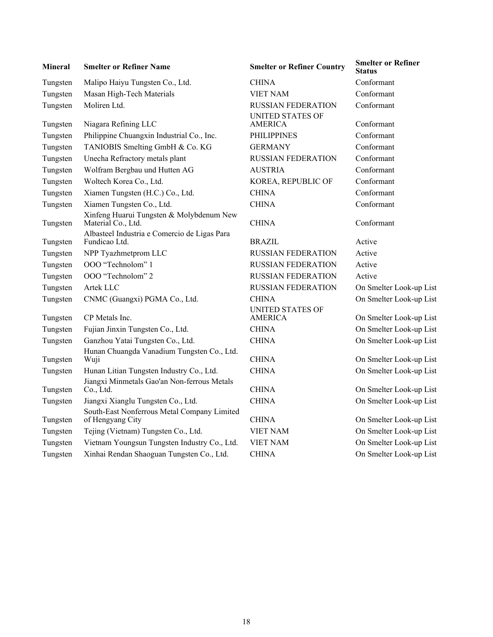| <b>Mineral</b> | <b>Smelter or Refiner Name</b>                                  | <b>Smelter or Refiner Country</b>         | <b>Smelter or Refiner</b><br>Status |
|----------------|-----------------------------------------------------------------|-------------------------------------------|-------------------------------------|
| Tungsten       | Malipo Haiyu Tungsten Co., Ltd.                                 | <b>CHINA</b>                              | Conformant                          |
| Tungsten       | Masan High-Tech Materials                                       | <b>VIET NAM</b>                           | Conformant                          |
| Tungsten       | Moliren Ltd.                                                    | <b>RUSSIAN FEDERATION</b>                 | Conformant                          |
| Tungsten       | Niagara Refining LLC                                            | <b>UNITED STATES OF</b><br><b>AMERICA</b> | Conformant                          |
| Tungsten       | Philippine Chuangxin Industrial Co., Inc.                       | <b>PHILIPPINES</b>                        | Conformant                          |
| Tungsten       | TANIOBIS Smelting GmbH & Co. KG                                 | <b>GERMANY</b>                            | Conformant                          |
| Tungsten       | Unecha Refractory metals plant                                  | <b>RUSSIAN FEDERATION</b>                 | Conformant                          |
| Tungsten       | Wolfram Bergbau und Hutten AG                                   | <b>AUSTRIA</b>                            | Conformant                          |
| Tungsten       | Woltech Korea Co., Ltd.                                         | KOREA, REPUBLIC OF                        | Conformant                          |
| Tungsten       | Xiamen Tungsten (H.C.) Co., Ltd.                                | <b>CHINA</b>                              | Conformant                          |
| Tungsten       | Xiamen Tungsten Co., Ltd.                                       | <b>CHINA</b>                              | Conformant                          |
| Tungsten       | Xinfeng Huarui Tungsten & Molybdenum New<br>Material Co., Ltd.  | <b>CHINA</b>                              | Conformant                          |
| Tungsten       | Albasteel Industria e Comercio de Ligas Para<br>Fundicao Ltd.   | <b>BRAZIL</b>                             | Active                              |
| Tungsten       | NPP Tyazhmetprom LLC                                            | <b>RUSSIAN FEDERATION</b>                 | Active                              |
| Tungsten       | OOO "Technolom" 1                                               | <b>RUSSIAN FEDERATION</b>                 | Active                              |
| Tungsten       | OOO "Technolom" 2                                               | <b>RUSSIAN FEDERATION</b>                 | Active                              |
| Tungsten       | Artek LLC                                                       | <b>RUSSIAN FEDERATION</b>                 | On Smelter Look-up List             |
| Tungsten       | CNMC (Guangxi) PGMA Co., Ltd.                                   | <b>CHINA</b>                              | On Smelter Look-up List             |
| Tungsten       | CP Metals Inc.                                                  | <b>UNITED STATES OF</b><br><b>AMERICA</b> | On Smelter Look-up List             |
| Tungsten       | Fujian Jinxin Tungsten Co., Ltd.                                | <b>CHINA</b>                              | On Smelter Look-up List             |
| Tungsten       | Ganzhou Yatai Tungsten Co., Ltd.                                | <b>CHINA</b>                              | On Smelter Look-up List             |
| Tungsten       | Hunan Chuangda Vanadium Tungsten Co., Ltd.<br>Wuji              | <b>CHINA</b>                              | On Smelter Look-up List             |
| Tungsten       | Hunan Litian Tungsten Industry Co., Ltd.                        | <b>CHINA</b>                              | On Smelter Look-up List             |
| Tungsten       | Jiangxi Minmetals Gao'an Non-ferrous Metals<br>$Co$ , Ltd.      | <b>CHINA</b>                              | On Smelter Look-up List             |
| Tungsten       | Jiangxi Xianglu Tungsten Co., Ltd.                              | <b>CHINA</b>                              | On Smelter Look-up List             |
| Tungsten       | South-East Nonferrous Metal Company Limited<br>of Hengyang City | <b>CHINA</b>                              | On Smelter Look-up List             |
| Tungsten       | Tejing (Vietnam) Tungsten Co., Ltd.                             | <b>VIET NAM</b>                           | On Smelter Look-up List             |
| Tungsten       | Vietnam Youngsun Tungsten Industry Co., Ltd.                    | <b>VIET NAM</b>                           | On Smelter Look-up List             |
| Tungsten       | Xinhai Rendan Shaoguan Tungsten Co., Ltd.                       | <b>CHINA</b>                              | On Smelter Look-up List             |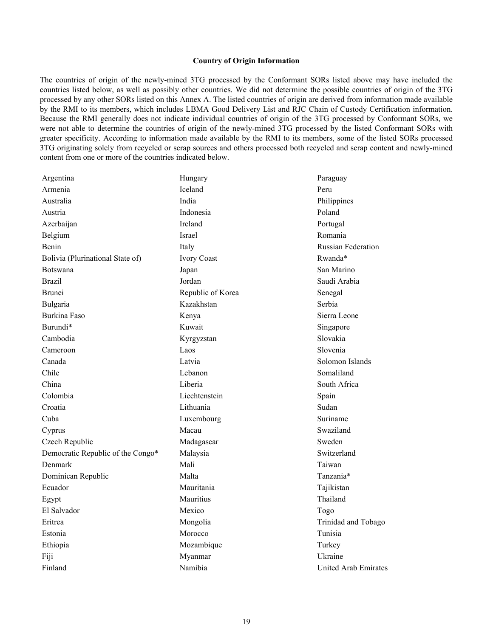#### **Country of Origin Information**

The countries of origin of the newly-mined 3TG processed by the Conformant SORs listed above may have included the countries listed below, as well as possibly other countries. We did not determine the possible countries of origin of the 3TG processed by any other SORs listed on this Annex A. The listed countries of origin are derived from information made available by the RMI to its members, which includes LBMA Good Delivery List and RJC Chain of Custody Certification information. Because the RMI generally does not indicate individual countries of origin of the 3TG processed by Conformant SORs, we were not able to determine the countries of origin of the newly-mined 3TG processed by the listed Conformant SORs with greater specificity. According to information made available by the RMI to its members, some of the listed SORs processed 3TG originating solely from recycled or scrap sources and others processed both recycled and scrap content and newly-mined content from one or more of the countries indicated below.

| Argentina                         | Hungary           | Paraguay                  |
|-----------------------------------|-------------------|---------------------------|
| Armenia                           | Iceland           | Peru                      |
| Australia                         | India             | Philippines               |
| Austria                           | Indonesia         | Poland                    |
| Azerbaijan                        | Ireland           | Portugal                  |
| Belgium                           | Israel            | Romania                   |
| Benin                             | Italy             | <b>Russian Federation</b> |
| Bolivia (Plurinational State of)  | Ivory Coast       | Rwanda*                   |
| <b>Botswana</b>                   | Japan             | San Marino                |
| <b>Brazil</b>                     | Jordan            | Saudi Arabia              |
| <b>Brunei</b>                     | Republic of Korea | Senegal                   |
| Bulgaria                          | Kazakhstan        | Serbia                    |
| Burkina Faso                      | Kenya             | Sierra Leone              |
| Burundi*                          | Kuwait            | Singapore                 |
| Cambodia                          | Kyrgyzstan        | Slovakia                  |
| Cameroon                          | Laos              | Slovenia                  |
| Canada                            | Latvia            | Solomon Islands           |
| Chile                             | Lebanon           | Somaliland                |
| China                             | Liberia           | South Africa              |
| Colombia                          | Liechtenstein     | Spain                     |
| Croatia                           | Lithuania         | Sudan                     |
| Cuba                              | Luxembourg        | Suriname                  |
| Cyprus                            | Macau             | Swaziland                 |
| Czech Republic                    | Madagascar        | Sweden                    |
| Democratic Republic of the Congo* | Malaysia          | Switzerland               |
| Denmark                           | Mali              | Taiwan                    |
| Dominican Republic                | Malta             | Tanzania*                 |
| Ecuador                           | Mauritania        | Tajikistan                |
| Egypt                             | Mauritius         | Thailand                  |
| El Salvador                       | Mexico            | Togo                      |
| Eritrea                           | Mongolia          | Trinidad and Tobago       |
| Estonia                           | Morocco           | Tunisia                   |
| Ethiopia                          | Mozambique        | Turkey                    |
| Fiji                              | Myanmar           | Ukraine                   |
| Finland                           | Namibia           | United Arab Emirates      |